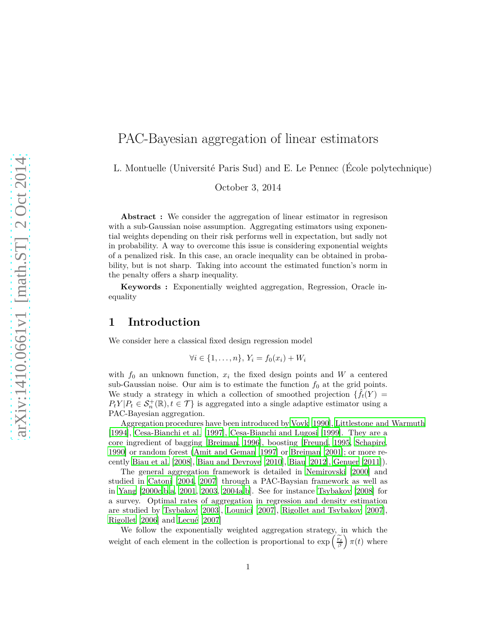# PAC-Bayesian aggregation of linear estimators

L. Montuelle (Université Paris Sud) and E. Le Pennec (École polytechnique)

October 3, 2014

**Abstract :** We consider the aggregation of linear estimator in regresison with a sub-Gaussian noise assumption. Aggregating estimators using exponential weights depending on their risk performs well in expectation, but sadly not in probability. A way to overcome this issue is considering exponential weights of a penalized risk. In this case, an oracle inequality can be obtained in probability, but is not sharp. Taking into account the estimated function's norm in the penalty offers a sharp inequality.

**Keywords :** Exponentially weighted aggregation, Regression, Oracle inequality

## **1 Introduction**

We consider here a classical fixed design regression model

$$
\forall i \in \{1,\ldots,n\}, Y_i = f_0(x_i) + W_i
$$

with  $f_0$  an unknown function,  $x_i$  the fixed design points and  $W$  a centered sub-Gaussian noise. Our aim is to estimate the function  $f_0$  at the grid points. We study a strategy in which a collection of smoothed projection  $\{\hat{f}_t(Y) =$  $P_t Y | P_t \in S_n^+(\mathbb{R})$ ,  $t \in \mathcal{T}$  is aggregated into a single adaptive estimator using a PAC-Bayesian aggregation.

Aggregation procedures have been introduced by [Vovk \[1990\]](#page-22-0), [Littlestone and Warmuth](#page-21-0) [\[1994\]](#page-21-0), [Cesa-Bianchi et al. \[1997\]](#page-20-0), [Cesa-Bianchi and Lugosi \[1999\]](#page-20-1). They are a core ingredient of bagging [\[Breiman, 1996\]](#page-19-0), boosting [\[Freund](#page-20-2), [1995](#page-20-2), [Schapire,](#page-22-1) [1990\]](#page-22-1) or random forest [\(Amit and Geman \[1997\]](#page-19-1) or [Breiman \[2001\]](#page-19-2); or more recently [Biau et al. \[2008\]](#page-19-3), [Biau and Devroye \[2010\]](#page-19-4), [Biau \[2012](#page-19-5)], [Genuer \[2011](#page-21-1)]).

The general aggregation framework is detailed in [Nemirovski \[2000\]](#page-21-2) and studied in [Catoni \[2004,](#page-19-6) [2007](#page-19-7)] through a PAC-Baysian framework as well as in [Yang \[2000c](#page-22-2)[,b](#page-22-3)[,a,](#page-22-4) [2001,](#page-22-5) [2003,](#page-22-6) [2004a](#page-22-7)[,b](#page-23-0)]. See for instance [Tsybakov \[2008](#page-22-8)] for a survey. Optimal rates of aggregation in regression and density estimation are studied by [Tsybakov \[2003\]](#page-22-9), [Lounici \[2007\]](#page-21-3), [Rigollet and Tsybakov \[2007\]](#page-21-4), [Rigollet \[2006\]](#page-21-5) and [Lecué \[2007](#page-21-6)]

We follow the exponentially weighted aggregation strategy, in which the weight of each element in the collection is proportional to  $\exp\left(\frac{\widetilde{r}_f}{\beta}\right)$  $\int \pi(t)$  where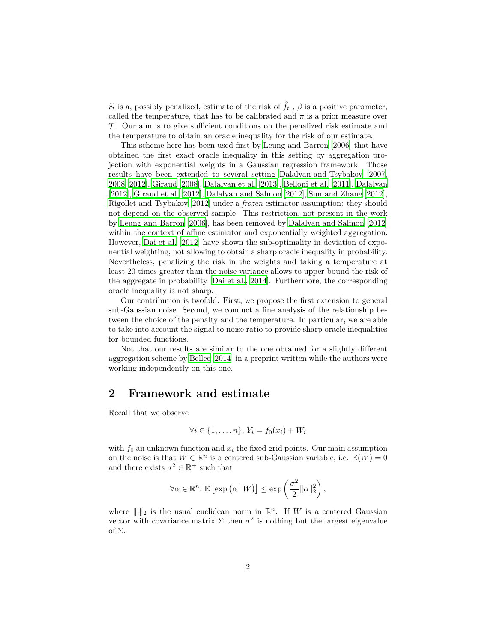$\tilde{r}_t$  is a, possibly penalized, estimate of the risk of  $\hat{f}_t$ ,  $\beta$  is a positive parameter, called the temperature, that has to be calibrated and  $\pi$  is a prior measure over  $\mathcal{T}$ . Our aim is to give sufficient conditions on the penalized risk estimate and the temperature to obtain an oracle inequality for the risk of our estimate.

This scheme here has been used first by [Leung and Barron \[2006\]](#page-21-7) that have obtained the first exact oracle inequality in this setting by aggregation projection with exponential weights in a Gaussian regression framework. Those results have been extended to several setting [Dalalyan and Tsybakov \[2007,](#page-20-3) [2008,](#page-20-4) [2012](#page-20-5)], [Giraud \[2008\]](#page-21-8), [Dalalyan et al. \[2013](#page-20-6)], [Belloni](#page-19-8) et al. [\[2011\]](#page-19-8), [Dalalyan](#page-20-7) [\[2012\]](#page-20-7), [Giraud et al. \[2012\]](#page-21-9), [Dalalyan and Salmon \[2012](#page-20-8)], [Sun and Zhang \[2012\]](#page-22-10), [Rigollet and Tsybakov \[2012\]](#page-22-11) under a *frozen* estimator assumption: they should not depend on the observed sample. This restriction, not present in the work by [Leung and Barron \[2006\]](#page-21-7), has been removed by [Dalalyan and Salmon \[2012\]](#page-20-8) within the context of affine estimator and exponentially weighted aggregation. However, [Dai et al. \[2012\]](#page-20-9) have shown the sub-optimality in deviation of exponential weighting, not allowing to obtain a sharp oracle inequality in probability. Nevertheless, penalizing the risk in the weights and taking a temperature at least 20 times greater than the noise variance allows to upper bound the risk of the aggregate in probability [\[Dai et al.](#page-20-10), [2014\]](#page-20-10). Furthermore, the corresponding oracle inequality is not sharp.

Our contribution is twofold. First, we propose the first extension to general sub-Gaussian noise. Second, we conduct a fine analysis of the relationship between the choice of the penalty and the temperature. In particular, we are able to take into account the signal to noise ratio to provide sharp oracle inequalities for bounded functions.

Not that our results are similar to the one obtained for a slightly different aggregation scheme by [Bellec \[2014\]](#page-19-9) in a preprint written while the authors were working independently on this one.

# **2 Framework and estimate**

Recall that we observe

$$
\forall i \in \{1,\ldots,n\}, Y_i = f_0(x_i) + W_i
$$

with  $f_0$  an unknown function and  $x_i$  the fixed grid points. Our main assumption on the noise is that  $W \in \mathbb{R}^n$  is a centered sub-Gaussian variable, i.e.  $\mathbb{E}(W) = 0$ and there exists  $\sigma^2 \in \mathbb{R}^+$  such that

$$
\forall \alpha \in \mathbb{R}^n, \, \mathbb{E}\left[\exp\left(\alpha^{\top}W\right)\right] \leq \exp\left(\frac{\sigma^2}{2} ||\alpha||_2^2\right),
$$

where  $\|.\|_2$  is the usual euclidean norm in  $\mathbb{R}^n$ . If *W* is a centered Gaussian vector with covariance matrix  $\Sigma$  then  $\sigma^2$  is nothing but the largest eigenvalue of Σ.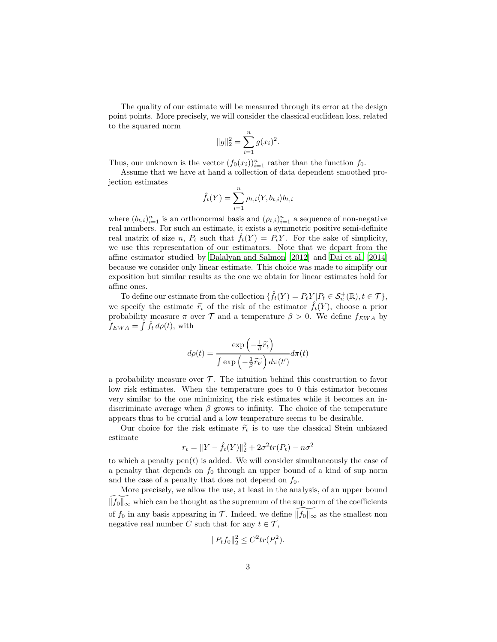The quality of our estimate will be measured through its error at the design point points. More precisely, we will consider the classical euclidean loss, related to the squared norm

$$
||g||_2^2 = \sum_{i=1}^n g(x_i)^2.
$$

Thus, our unknown is the vector  $(f_0(x_i))_{i=1}^n$  rather than the function  $f_0$ .

Assume that we have at hand a collection of data dependent smoothed projection estimates

$$
\hat{f}_t(Y) = \sum_{i=1}^n \rho_{t,i} \langle Y, b_{t,i} \rangle b_{t,i}
$$

where  $(b_{t,i})_{i=1}^n$  is an orthonormal basis and  $(\rho_{t,i})_{i=1}^n$  a sequence of non-negative real numbers. For such an estimate, it exists a symmetric positive semi-definite real matrix of size *n*,  $P_t$  such that  $\hat{f}_t(Y) = P_tY$ . For the sake of simplicity, we use this representation of our estimators. Note that we depart from the affine estimator studied by [Dalalyan and Salmon \[2012\]](#page-20-8) and Dai [et al. \[2014\]](#page-20-10) because we consider only linear estimate. This choice was made to simplify our exposition but similar results as the one we obtain for linear estimates hold for affine ones.

To define our estimate from the collection  $\{\hat{f}_t(Y) = P_tY \mid P_t \in \mathcal{S}_n^+(\mathbb{R}), t \in \mathcal{T}\},\$ we specify the estimate  $\tilde{r}_t$  of the risk of the estimator  $\hat{f}_t(Y)$ , choose a prior probability measure  $\pi$  over  $\mathcal T$  and a temperature  $\beta > 0$ . We define  $f_{EWA}$  by  $\hat{f}_{EWA} = \int \hat{f}_t \, d\rho(t)$ , with

$$
d\rho(t) = \frac{\exp\left(-\frac{1}{\beta}\widetilde{r}_t\right)}{\int \exp\left(-\frac{1}{\beta}\widetilde{r}_{t'}\right)d\pi(t')}d\pi(t)
$$

a probability measure over  $\mathcal T$ . The intuition behind this construction to favor low risk estimates. When the temperature goes to 0 this estimator becomes very similar to the one minimizing the risk estimates while it becomes an indiscriminate average when *β* grows to infinity. The choice of the temperature appears thus to be crucial and a low temperature seems to be desirable.

Our choice for the risk estimate  $\tilde{r}_t$  is to use the classical Stein unbiased estimate

$$
r_t = ||Y - \hat{f}_t(Y)||_2^2 + 2\sigma^2 tr(P_t) - n\sigma^2
$$

to which a penalty pen(*t*) is added. We will consider simultaneously the case of a penalty that depends on *f*<sup>0</sup> through an upper bound of a kind of sup norm and the case of a penalty that does not depend on  $f_0$ .

More precisely, we allow the use, at least in the analysis, of an upper bound  $||f_0||_{\infty}$  which can be thought as the supremum of the sup norm of the coefficients of  $f_0$  in any basis appearing in  $\mathcal T$ . Indeed, we define  $||f_0||_{\infty}$  as the smallest non negative real number *C* such that for any  $t \in \mathcal{T}$ ,

$$
||P_t f_0||_2^2 \le C^2 tr(P_t^2).
$$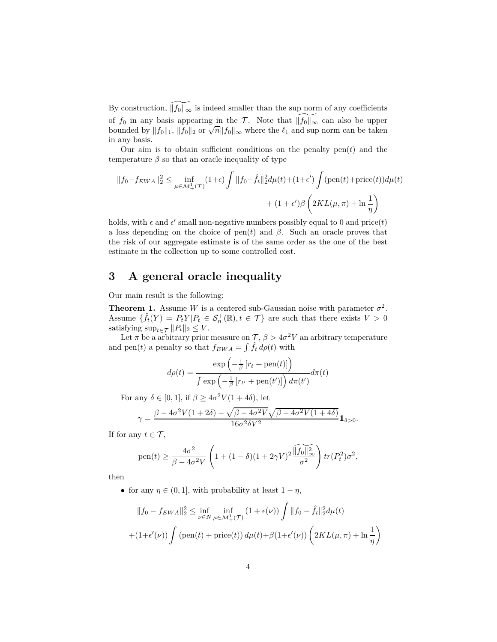By construction,  $\widetilde{\|f_0\|_{\infty}}$  is indeed smaller than the sup norm of any coefficients of *f*<sub>0</sub> in any basis appearing in the  $\mathcal{T}$ . Note that  $||f_0||_{\infty}$  can also be upper bounded by  $||f_0||_1$ ,  $||f_0||_2$  or  $\sqrt{n}||f_0||_{\infty}$  where the  $\ell_1$  and sup norm can be taken in any basis.

Our aim is to obtain sufficient conditions on the penalty pen(*t*) and the temperature  $\beta$  so that an oracle inequality of type

$$
||f_0 - f_{EWA}||_2^2 \le \inf_{\mu \in \mathcal{M}_+^1(\mathcal{T})} (1+\epsilon) \int ||f_0 - \hat{f}_t||_2^2 d\mu(t) + (1+\epsilon') \int (\text{pen}(t) + \text{price}(t)) d\mu(t) + (1+\epsilon')\beta \left(2KL(\mu, \pi) + \ln \frac{1}{\eta}\right)
$$

holds, with  $\epsilon$  and  $\epsilon'$  small non-negative numbers possibly equal to 0 and price(*t*) a loss depending on the choice of pen $(t)$  and  $\beta$ . Such an oracle proves that the risk of our aggregate estimate is of the same order as the one of the best estimate in the collection up to some controlled cost.

# **3 A general oracle inequality**

Our main result is the following:

<span id="page-3-0"></span>**Theorem 1.** Assume *W* is a centered sub-Gaussian noise with parameter  $\sigma^2$ . Assume  $\{\hat{f}_t(Y) = P_tY|P_t \in \mathcal{S}_n^+(\mathbb{R}), t \in \mathcal{T}\}\$ are such that there exists  $V > 0$ satisfying  $\sup_{t \in \mathcal{T}} ||P_t||_2 \leq V$ .

Let  $\pi$  be a arbitrary prior measure on  $\mathcal{T}, \beta > 4\sigma^2 V$  an arbitrary temperature and pen(*t*) a penalty so that  $f_{EWA} = \int \hat{f}_t d\rho(t)$  with

$$
d\rho(t) = \frac{\exp\left(-\frac{1}{\beta}\left[r_t + \text{pen}(t)\right]\right)}{\int \exp\left(-\frac{1}{\beta}\left[r_{t'} + \text{pen}(t')\right]\right) d\pi(t')}d\pi(t)
$$

For any  $\delta \in [0, 1]$ , if  $\beta \ge 4\sigma^2 V(1 + 4\delta)$ , let

$$
\gamma=\frac{\beta-4\sigma^2V(1+2\delta)-\sqrt{\beta-4\sigma^2V}\sqrt{\beta-4\sigma^2V(1+4\delta)}}{16\sigma^2\delta V^2}1\!\!1_{\delta>0}.
$$

If for any  $t \in \mathcal{T}$ ,

$$
\text{pen}(t) \ge \frac{4\sigma^2}{\beta - 4\sigma^2 V} \left( 1 + (1 - \delta)(1 + 2\gamma V)^2 \frac{\|\widetilde{f_0}\|_{\infty}^2}{\sigma^2} \right) tr(P_t^2) \sigma^2,
$$

then

• for any  $\eta \in (0, 1]$ , with probability at least  $1 - \eta$ ,

$$
||f_0 - f_{EWA}||_2^2 \le \inf_{\nu \in N} \inf_{\mu \in \mathcal{M}_+^1(\mathcal{T})} (1 + \epsilon(\nu)) \int ||f_0 - \hat{f}_t||_2^2 d\mu(t)
$$

$$
+ (1 + \epsilon'(\nu)) \int (\text{pen}(t) + \text{price}(t)) d\mu(t) + \beta (1 + \epsilon'(\nu)) \left( 2KL(\mu, \pi) + \ln \frac{1}{\eta} \right)
$$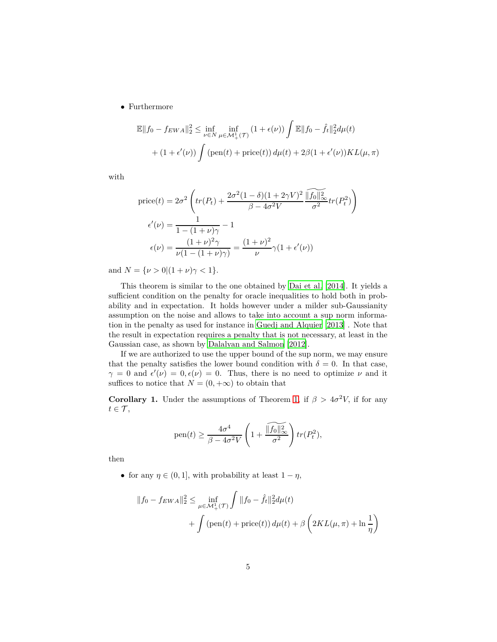• Furthermore

$$
\mathbb{E}||f_0 - f_{EWA}||_2^2 \le \inf_{\nu \in N} \inf_{\mu \in \mathcal{M}_+^1(\mathcal{T})} (1 + \epsilon(\nu)) \int \mathbb{E}||f_0 - \hat{f}_t||_2^2 d\mu(t)
$$

$$
+ (1 + \epsilon'(\nu)) \int (\text{pen}(t) + \text{price}(t)) d\mu(t) + 2\beta(1 + \epsilon'(\nu)) KL(\mu, \pi)
$$

with

$$
price(t) = 2\sigma^2 \left( tr(P_t) + \frac{2\sigma^2 (1 - \delta)(1 + 2\gamma V)^2 \sqrt{\|f_0\|_{\infty}^2}}{\beta - 4\sigma^2 V} tr(P_t^2) \right)
$$

$$
\epsilon'(\nu) = \frac{1}{1 - (1 + \nu)\gamma} - 1
$$

$$
\epsilon(\nu) = \frac{(1 + \nu)^2 \gamma}{\nu (1 - (1 + \nu)\gamma)} = \frac{(1 + \nu)^2}{\nu} \gamma (1 + \epsilon'(\nu))
$$

and  $N = {\nu > 0 | (1 + \nu)\gamma < 1}.$ 

This theorem is similar to the one obtained by [Dai et al. \[2014](#page-20-10)]. It yields a sufficient condition on the penalty for oracle inequalities to hold both in probability and in expectation. It holds however under a milder sub-Gaussianity assumption on the noise and allows to take into account a sup norm information in the penalty as used for instance in [Guedj and Alquier \[2013\]](#page-21-10) . Note that the result in expectation requires a penalty that is not necessary, at least in the Gaussian case, as shown by [Dalalyan and Salmon \[2012](#page-20-8)].

If we are authorized to use the upper bound of the sup norm, we may ensure that the penalty satisfies the lower bound condition with  $\delta = 0$ . In that case,  $\gamma = 0$  and  $\epsilon'(\nu) = 0, \epsilon(\nu) = 0$ . Thus, there is no need to optimize  $\nu$  and it suffices to notice that  $N = (0, +\infty)$  to obtain that

<span id="page-4-0"></span>**Corollary 1.** Under the assumptions of Theorem [1,](#page-3-0) if  $\beta > 4\sigma^2 V$ , if for any  $t \in \mathcal{T}$ ,

pen(t) 
$$
\geq \frac{4\sigma^4}{\beta - 4\sigma^2 V} \left( 1 + \frac{\widetilde{\|f_0\|_{\infty}^2}}{\sigma^2} \right) tr(P_t^2),
$$

then

• for any  $\eta \in (0, 1]$ , with probability at least  $1 - \eta$ ,

$$
||f_0 - f_{EWA}||_2^2 \le \inf_{\mu \in \mathcal{M}_+^1(\mathcal{T})} \int ||f_0 - \hat{f}_t||_2^2 d\mu(t) + \int (\text{pen}(t) + \text{price}(t)) d\mu(t) + \beta \left( 2KL(\mu, \pi) + \ln \frac{1}{\eta} \right)
$$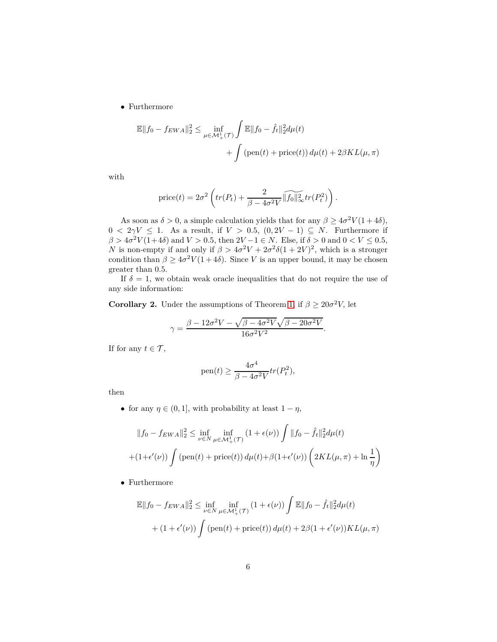• Furthermore

$$
\mathbb{E}||f_0 - f_{EWA}||_2^2 \le \inf_{\mu \in \mathcal{M}_+^1(\mathcal{T})} \int \mathbb{E}||f_0 - \hat{f}_t||_2^2 d\mu(t) + \int (\text{pen}(t) + \text{price}(t)) d\mu(t) + 2\beta KL(\mu, \pi)
$$

with

$$
price(t) = 2\sigma^2 \left( tr(P_t) + \frac{2}{\beta - 4\sigma^2 V} \widetilde{\|f_0\|_{\infty}^2} tr(P_t^2) \right).
$$

As soon as  $\delta > 0$ , a simple calculation yields that for any  $\beta \geq 4\sigma^2 V(1+4\delta)$ ,  $0 < 2\gamma V \leq 1$ . As a result, if  $V > 0.5$ ,  $(0, 2V - 1) \subseteq N$ . Furthermore if  $\beta > 4\sigma^2 V(1+4\delta)$  and  $V > 0.5$ , then  $2V - 1 \in N$ . Else, if  $\delta > 0$  and  $0 < V \le 0.5$ , *N* is non-empty if and only if  $\beta > 4\sigma^2 V + 2\sigma^2 \delta (1 + 2V)^2$ , which is a stronger condition than  $\beta \geq 4\sigma^2 V(1+4\delta)$ . Since *V* is an upper bound, it may be chosen greater than 0*.*5.

If  $\delta = 1$ , we obtain weak oracle inequalities that do not require the use of any side information:

<span id="page-5-0"></span>**Corollary 2.** Under the assumptions of Theorem [1,](#page-3-0) if  $\beta \geq 20\sigma^2 V$ , let

$$
\gamma = \frac{\beta - 12\sigma^2 V - \sqrt{\beta - 4\sigma^2 V} \sqrt{\beta - 20\sigma^2 V}}{16\sigma^2 V^2}.
$$

If for any  $t \in \mathcal{T}$ ,

pen(t) 
$$
\geq \frac{4\sigma^4}{\beta - 4\sigma^2 V} tr(P_t^2)
$$
,

then

• for any  $\eta \in (0,1]$ , with probability at least  $1 - \eta$ ,

$$
||f_0 - f_{EWA}||_2^2 \le \inf_{\nu \in N} \inf_{\mu \in \mathcal{M}_+^1(\mathcal{T})} (1 + \epsilon(\nu)) \int ||f_0 - \hat{f}_t||_2^2 d\mu(t)
$$
  
 
$$
+ (1 + \epsilon'(\nu)) \int (\text{pen}(t) + \text{price}(t)) d\mu(t) + \beta (1 + \epsilon'(\nu)) \left( 2KL(\mu, \pi) + \ln \frac{1}{\eta} \right)
$$

• Furthermore

$$
\mathbb{E}||f_0 - f_{EWA}||_2^2 \le \inf_{\nu \in N} \inf_{\mu \in \mathcal{M}_+^1(\mathcal{T})} (1 + \epsilon(\nu)) \int \mathbb{E}||f_0 - \hat{f}_t||_2^2 d\mu(t)
$$
  
+ 
$$
(1 + \epsilon'(\nu)) \int (\text{pen}(t) + \text{price}(t)) d\mu(t) + 2\beta (1 + \epsilon'(\nu)) KL(\mu, \pi)
$$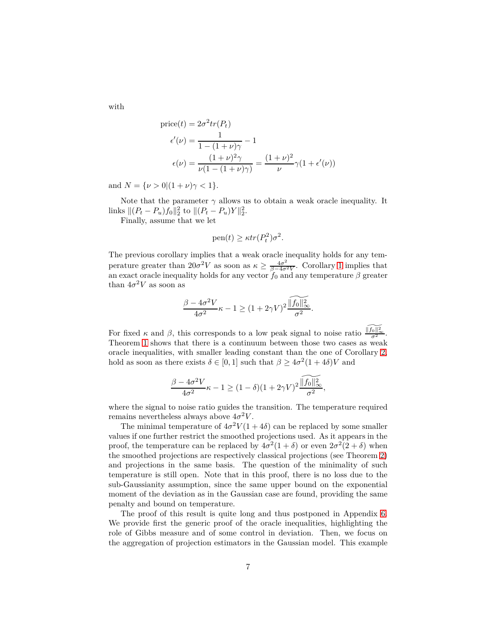with

$$
price(t) = 2\sigma^2 tr(P_t)
$$

$$
\epsilon'(\nu) = \frac{1}{1 - (1 + \nu)\gamma} - 1
$$

$$
\epsilon(\nu) = \frac{(1 + \nu)^2 \gamma}{\nu(1 - (1 + \nu)\gamma)} = \frac{(1 + \nu)^2}{\nu} \gamma (1 + \epsilon'(\nu))
$$

and  $N = \{ \nu > 0 | (1 + \nu)\gamma < 1 \}.$ 

Note that the parameter  $\gamma$  allows us to obtain a weak oracle inequality. It links  $||(P_t - P_u)f_0||_2^2$  to  $||(P_t - P_u)Y||_2^2$ .

Finally, assume that we let

pen(t) 
$$
\geq \kappa tr(P_t^2)\sigma^2
$$
.

The previous corollary implies that a weak oracle inequality holds for any temperature greater than  $20\sigma^2 V$  as soon as  $\kappa \geq \frac{4\sigma^2}{\beta - 4\sigma^2}$  $\frac{4\sigma^2}{\beta-4\sigma^2 V}$ . Corollary [1](#page-4-0) implies that an exact oracle inequality holds for any vector  $f_0$  and any temperature  $\beta$  greater than  $4\sigma^2 V$  as soon as

$$
\frac{\beta-4\sigma^2 V}{4\sigma^2}\kappa-1\geq (1+2\gamma V)^2\frac{\widetilde{\|f_0\|_\infty^2}}{\sigma^2}.
$$

For fixed  $\kappa$  and  $\beta$ , this corresponds to a low peak signal to noise ratio  $\frac{\sqrt{f_0 \rho^2}}{\sigma^2}$ . Theorem [1](#page-3-0) shows that there is a continuum between those two cases as weak oracle inequalities, with smaller leading constant than the one of Corollary [2,](#page-5-0) hold as soon as there exists  $\delta \in [0,1]$  such that  $\beta \ge 4\sigma^2(1+4\delta)V$  and

$$
\frac{\beta-4\sigma^2 V}{4\sigma^2}\kappa-1\geq (1-\delta)(1+2\gamma V)^2\frac{\widetilde{\|f_0\|_\infty^2}}{\sigma^2},
$$

where the signal to noise ratio guides the transition. The temperature required remains nevertheless always above  $4\sigma^2 V$ .

The minimal temperature of  $4\sigma^2 V(1+4\delta)$  can be replaced by some smaller values if one further restrict the smoothed projections used. As it appears in the proof, the temperature can be replaced by  $4\sigma^2(1+\delta)$  or even  $2\sigma^2(2+\delta)$  when the smoothed projections are respectively classical projections (see Theorem [2\)](#page-8-0) and projections in the same basis. The question of the minimality of such temperature is still open. Note that in this proof, there is no loss due to the sub-Gaussianity assumption, since the same upper bound on the exponential moment of the deviation as in the Gaussian case are found, providing the same penalty and bound on temperature.

The proof of this result is quite long and thus postponed in Appendix [6.](#page-13-0) We provide first the generic proof of the oracle inequalities, highlighting the role of Gibbs measure and of some control in deviation. Then, we focus on the aggregation of projection estimators in the Gaussian model. This example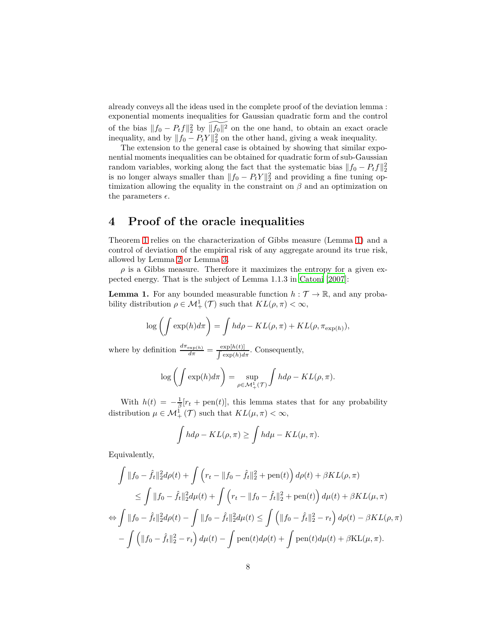already conveys all the ideas used in the complete proof of the deviation lemma : exponential moments inequalities for Gaussian quadratic form and the control of the bias  $||f_0 - P_t f||_2^2$  by  $\widetilde{||f_0||^2}$  on the one hand, to obtain an exact oracle inequality, and by  $||f_0 - P_t Y||_2^2$  on the other hand, giving a weak inequality.

The extension to the general case is obtained by showing that similar exponential moments inequalities can be obtained for quadratic form of sub-Gaussian random variables, working along the fact that the systematic bias  $||f_0 - P_t f||_2^2$ is no longer always smaller than  $||f_0 - P_t Y||_2^2$  and providing a fine tuning optimization allowing the equality in the constraint on *β* and an optimization on the parameters  $\epsilon$ .

# <span id="page-7-1"></span>**4 Proof of the oracle inequalities**

Theorem [1](#page-3-0) relies on the characterization of Gibbs measure (Lemma [1\)](#page-7-0) and a control of deviation of the empirical risk of any aggregate around its true risk, allowed by Lemma [2](#page-9-0) or Lemma [3.](#page-13-1)

 $\rho$  is a Gibbs measure. Therefore it maximizes the entropy for a given expected energy. That is the subject of Lemma 1.1.3 in [Catoni \[2007\]](#page-19-7):

<span id="page-7-0"></span>**Lemma 1.** For any bounded measurable function  $h : \mathcal{T} \to \mathbb{R}$ , and any probability distribution  $\rho \in \mathcal{M}^1_+(\mathcal{T})$  such that  $KL(\rho, \pi) < \infty$ ,

$$
\log\left(\int \exp(h)d\pi\right) = \int h d\rho - KL(\rho, \pi) + KL(\rho, \pi_{\exp(h)}),
$$

where by definition  $\frac{d\pi_{\exp(h)}}{d\pi} = \frac{\exp[h(t)]}{\int \exp(h)d\pi}$ . Consequently,

$$
\log\left(\int \exp(h)d\pi\right) = \sup_{\rho \in \mathcal{M}_+^1(\mathcal{T})} \int h d\rho - KL(\rho, \pi).
$$

With  $h(t) = -\frac{1}{\beta} [r_t + \text{pen}(t)],$  this lemma states that for any probability distribution  $\mu \in \mathcal{M}^1_+(\mathcal{T})$  such that  $KL(\mu, \pi) < \infty$ ,

$$
\int h d\rho - KL(\rho, \pi) \ge \int h d\mu - KL(\mu, \pi).
$$

Equivalently,

$$
\int ||f_0 - \hat{f}_t||_2^2 d\rho(t) + \int (r_t - ||f_0 - \hat{f}_t||_2^2 + \text{pen}(t)) d\rho(t) + \beta KL(\rho, \pi)
$$
  
\n
$$
\leq \int ||f_0 - \hat{f}_t||_2^2 d\mu(t) + \int (r_t - ||f_0 - \hat{f}_t||_2^2 + \text{pen}(t)) d\mu(t) + \beta KL(\mu, \pi)
$$
  
\n
$$
\Leftrightarrow \int ||f_0 - \hat{f}_t||_2^2 d\rho(t) - \int ||f_0 - \hat{f}_t||_2^2 d\mu(t) \leq \int (||f_0 - \hat{f}_t||_2^2 - r_t) d\rho(t) - \beta KL(\rho, \pi)
$$
  
\n
$$
- \int (||f_0 - \hat{f}_t||_2^2 - r_t) d\mu(t) - \int \text{pen}(t) d\rho(t) + \int \text{pen}(t) d\mu(t) + \beta KL(\mu, \pi).
$$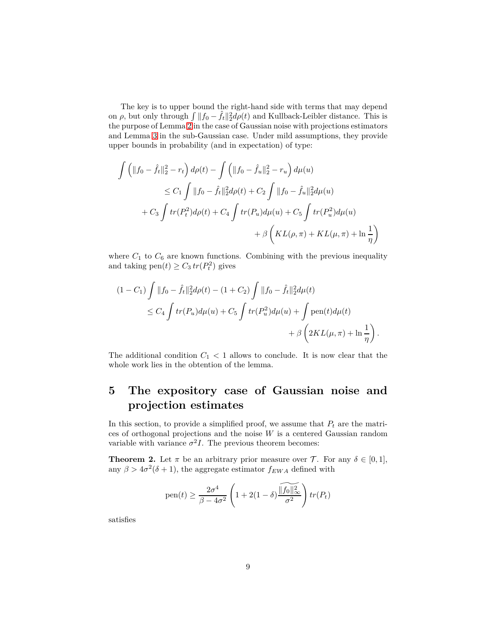The key is to upper bound the right-hand side with terms that may depend on  $\rho$ , but only through  $\int ||f_0 - \hat{f}_t||_2^2 d\rho(t)$  and Kullback-Leibler distance. This is the purpose of Lemma [2](#page-9-0) in the case of Gaussian noise with projections estimators and Lemma [3](#page-13-1) in the sub-Gaussian case. Under mild assumptions, they provide upper bounds in probability (and in expectation) of type:

$$
\int \left( \|f_0 - \hat{f}_t\|_2^2 - r_t \right) d\rho(t) - \int \left( \|f_0 - \hat{f}_u\|_2^2 - r_u \right) d\mu(u)
$$
  
\n
$$
\leq C_1 \int \|f_0 - \hat{f}_t\|_2^2 d\rho(t) + C_2 \int \|f_0 - \hat{f}_u\|_2^2 d\mu(u)
$$
  
\n
$$
+ C_3 \int tr(P_t^2) d\rho(t) + C_4 \int tr(P_u) d\mu(u) + C_5 \int tr(P_u^2) d\mu(u)
$$
  
\n
$$
+ \beta \left( KL(\rho, \pi) + KL(\mu, \pi) + \ln \frac{1}{\eta} \right)
$$

where  $C_1$  to  $C_6$  are known functions. Combining with the previous inequality and taking  $pen(t) \geq C_3 \, tr(P_t^2)$  gives

$$
(1 - C_1) \int ||f_0 - \hat{f}_t||_2^2 d\rho(t) - (1 + C_2) \int ||f_0 - \hat{f}_t||_2^2 d\mu(t)
$$
  
\n
$$
\leq C_4 \int tr(P_u) d\mu(u) + C_5 \int tr(P_u^2) d\mu(u) + \int \text{pen}(t) d\mu(t)
$$
  
\n
$$
+ \beta \left(2KL(\mu, \pi) + \ln \frac{1}{\eta}\right).
$$

The additional condition  $C_1 < 1$  allows to conclude. It is now clear that the whole work lies in the obtention of the lemma.

# **5 The expository case of Gaussian noise and projection estimates**

In this section, to provide a simplified proof, we assume that  $P_t$  are the matrices of orthogonal projections and the noise *W* is a centered Gaussian random variable with variance  $\sigma^2 I$ . The previous theorem becomes:

<span id="page-8-0"></span>**Theorem 2.** Let  $\pi$  be an arbitrary prior measure over  $\mathcal{T}$ . For any  $\delta \in [0,1]$ , any  $\beta > 4\sigma^2(\delta + 1)$ , the aggregate estimator  $f_{EWA}$  defined with

pen(t) 
$$
\geq \frac{2\sigma^4}{\beta - 4\sigma^2} \left( 1 + 2(1 - \delta) \frac{\widetilde{\|f_0\|_{\infty}^2}}{\sigma^2} \right) tr(P_t)
$$

satisfies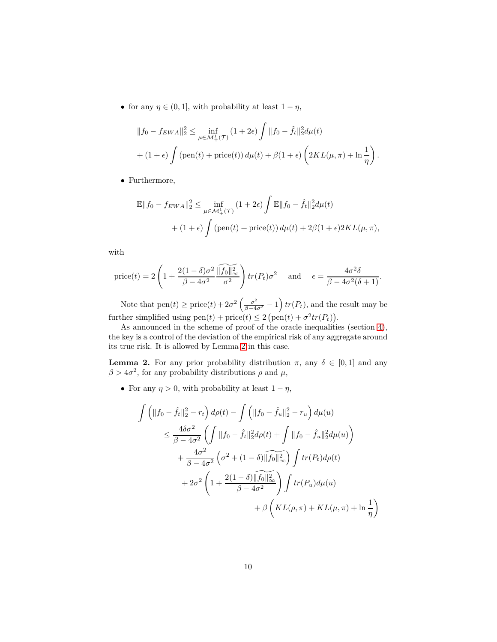• for any  $\eta \in (0, 1]$ , with probability at least  $1 - \eta$ ,

$$
||f_0 - f_{EWA}||_2^2 \le \inf_{\mu \in \mathcal{M}_+^1(\mathcal{T})} (1 + 2\epsilon) \int ||f_0 - \hat{f}_t||_2^2 d\mu(t)
$$
  
+ 
$$
(1 + \epsilon) \int (\text{pen}(t) + \text{price}(t)) d\mu(t) + \beta(1 + \epsilon) \left(2KL(\mu, \pi) + \ln \frac{1}{\eta}\right).
$$

• Furthermore,

$$
\mathbb{E}||f_0 - f_{EWA}||_2^2 \le \inf_{\mu \in \mathcal{M}_+^1(\mathcal{T})} (1 + 2\epsilon) \int \mathbb{E}||f_0 - \hat{f}_t||_2^2 d\mu(t) + (1 + \epsilon) \int (\text{pen}(t) + \text{price}(t)) d\mu(t) + 2\beta(1 + \epsilon) 2KL(\mu, \pi),
$$

with

$$
\text{price}(t) = 2\left(1 + \frac{2(1-\delta)\sigma^2}{\beta - 4\sigma^2} \frac{\widetilde{\|f_0\|_{\infty}^2}}{\sigma^2}\right) tr(P_t)\sigma^2 \quad \text{and} \quad \epsilon = \frac{4\sigma^2 \delta}{\beta - 4\sigma^2(\delta + 1)}.
$$

Note that  $pen(t) \geq price(t) + 2\sigma^2 \left(\frac{\sigma^2}{\beta - 4\sigma^2} - 1\right) tr(P_t)$ , and the result may be further simplified using  $pen(t) + price(t) \leq 2 (pen(t) + \sigma^2 tr(P_t)).$ 

As announced in the scheme of proof of the oracle inequalities (section [4\)](#page-7-1), the key is a control of the deviation of the empirical risk of any aggregate around its true risk. It is allowed by Lemma [2](#page-9-0) in this case.

<span id="page-9-0"></span>**Lemma 2.** For any prior probability distribution  $\pi$ , any  $\delta \in [0,1]$  and any  $\beta > 4\sigma^2$ , for any probability distributions  $\rho$  and  $\mu$ ,

• For any  $\eta > 0$ , with probability at least  $1 - \eta$ ,

$$
\int \left( \|f_0 - \hat{f}_t\|_2^2 - r_t \right) d\rho(t) - \int \left( \|f_0 - \hat{f}_u\|_2^2 - r_u \right) d\mu(u)
$$
\n
$$
\leq \frac{4\delta\sigma^2}{\beta - 4\sigma^2} \left( \int \|f_0 - \hat{f}_t\|_2^2 d\rho(t) + \int \|f_0 - \hat{f}_u\|_2^2 d\mu(u) \right)
$$
\n
$$
+ \frac{4\sigma^2}{\beta - 4\sigma^2} \left( \sigma^2 + (1 - \delta) \|\widehat{f_0}\|_\infty^2 \right) \int tr(P_t) d\rho(t)
$$
\n
$$
+ 2\sigma^2 \left( 1 + \frac{2(1 - \delta) \|\widehat{f_0}\|_\infty^2}{\beta - 4\sigma^2} \right) \int tr(P_u) d\mu(u)
$$
\n
$$
+ \beta \left( KL(\rho, \pi) + KL(\mu, \pi) + \ln\frac{1}{\eta} \right)
$$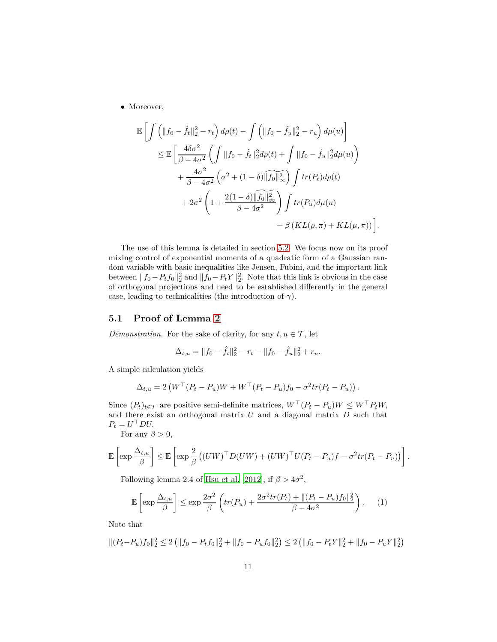• Moreover,

$$
\mathbb{E}\left[\int \left(\|f_0 - \hat{f}_t\|_2^2 - r_t\right)d\rho(t) - \int \left(\|f_0 - \hat{f}_u\|_2^2 - r_u\right)d\mu(u)\right]
$$
\n
$$
\leq \mathbb{E}\left[\frac{4\delta\sigma^2}{\beta - 4\sigma^2} \left(\int \|f_0 - \hat{f}_t\|_2^2d\rho(t) + \int \|f_0 - \hat{f}_u\|_2^2d\mu(u)\right) + \frac{4\sigma^2}{\beta - 4\sigma^2} \left(\sigma^2 + (1 - \delta)\|\widehat{f_0}\|_\infty^2\right) \int tr(P_t)d\rho(t) + 2\sigma^2 \left(1 + \frac{2(1 - \delta)\|\widehat{f_0}\|_\infty^2}{\beta - 4\sigma^2}\right) \int tr(P_u)d\mu(u) + \beta \left(KL(\rho, \pi) + KL(\mu, \pi)\right)\right]
$$

*.*

The use of this lemma is detailed in section [5.2.](#page-12-0) We focus now on its proof mixing control of exponential moments of a quadratic form of a Gaussian random variable with basic inequalities like Jensen, Fubini, and the important link between  $||f_0 - P_t f_0||_2^2$  and  $||f_0 - P_t Y||_2^2$ . Note that this link is obvious in the case of orthogonal projections and need to be established differently in the general case, leading to technicalities (the introduction of  $\gamma$ ).

#### **5.1 Proof of Lemma [2](#page-9-0)**

*Démonstration.* For the sake of clarity, for any  $t, u \in \mathcal{T}$ , let

$$
\Delta_{t,u} = ||f_0 - \hat{f}_t||_2^2 - r_t - ||f_0 - \hat{f}_u||_2^2 + r_u.
$$

A simple calculation yields

$$
\Delta_{t,u} = 2 \left( W^\top (P_t - P_u) W + W^\top (P_t - P_u) f_0 - \sigma^2 tr (P_t - P_u) \right).
$$

Since  $(P_t)_{t \in \mathcal{T}}$  are positive semi-definite matrices,  $W^{\top}(P_t - P_u)W \leq W^{\top}P_tW$ , and there exist an orthogonal matrix *U* and a diagonal matrix *D* such that  $P_t = U^\top D U.$ 

For any  $\beta > 0$ ,

$$
\mathbb{E}\left[\exp\frac{\Delta_{t,u}}{\beta}\right] \leq \mathbb{E}\left[\exp\frac{2}{\beta}\left((UW)^{\top}D(UW) + (UW)^{\top}U(P_t - P_u)f - \sigma^2tr(P_t - P_u)\right)\right].
$$

Following lemma 2.4 of [Hsu et al. \[2012\]](#page-21-11), if  $\beta > 4\sigma^2$ ,

<span id="page-10-0"></span>
$$
\mathbb{E}\left[\exp\frac{\Delta_{t,u}}{\beta}\right] \le \exp\frac{2\sigma^2}{\beta}\left(tr(P_u) + \frac{2\sigma^2tr(P_t) + ||(P_t - P_u)f_0||_2^2}{\beta - 4\sigma^2}\right). \tag{1}
$$

Note that

$$
\|(P_t - P_u)f_0\|_2^2 \le 2\left(\|f_0 - P_tf_0\|_2^2 + \|f_0 - P_uf_0\|_2^2\right) \le 2\left(\|f_0 - P_tY\|_2^2 + \|f_0 - P_uY\|_2^2\right)
$$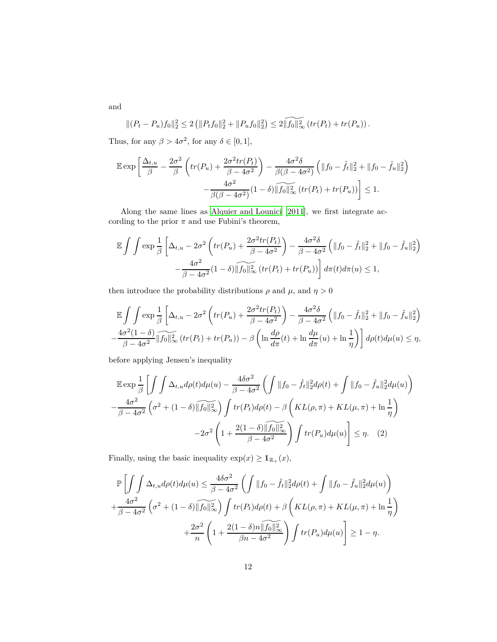and

$$
||(P_t - P_u)f_0||_2^2 \le 2\left(||P_tf_0||_2^2 + ||P_uf_0||_2^2\right) \le 2\widetilde{||f_0||_{\infty}^2} \left(tr(P_t) + tr(P_u)\right).
$$

Thus, for any  $\beta > 4\sigma^2$ , for any  $\delta \in [0, 1]$ ,

$$
\mathbb{E} \exp\left[\frac{\Delta_{t,u}}{\beta} - \frac{2\sigma^2}{\beta} \left(tr(P_u) + \frac{2\sigma^2 tr(P_t)}{\beta - 4\sigma^2}\right) - \frac{4\sigma^2 \delta}{\beta(\beta - 4\sigma^2)} \left(\|f_0 - \hat{f}_t\|_2^2 + \|f_0 - \hat{f}_u\|_2^2\right) - \frac{4\sigma^2}{\beta(\beta - 4\sigma^2)} (1 - \delta) \|\widehat{f_0}\|_{\infty}^2 \left(tr(P_t) + tr(P_u)\right)\right] \le 1.
$$

Along the same lines as [Alquier and Lounici \[2011\]](#page-19-10), we first integrate according to the prior  $\pi$  and use Fubini's theorem,

$$
\mathbb{E}\int\int \exp\frac{1}{\beta}\left[\Delta_{t,u}-2\sigma^2\left(tr(P_u)+\frac{2\sigma^2tr(P_t)}{\beta-4\sigma^2}\right)-\frac{4\sigma^2\delta}{\beta-4\sigma^2}\left(\|f_0-\hat{f}_t\|_2^2+\|f_0-\hat{f}_u\|_2^2\right)\right] -\frac{4\sigma^2}{\beta-4\sigma^2}(1-\delta)\|\widehat{f}_0\|_{\infty}^2\left(tr(P_t)+tr(P_u)\right)\right]d\pi(t)d\pi(u)\leq 1,
$$

then introduce the probability distributions  $\rho$  and  $\mu,$  and  $\eta>0$ 

$$
\mathbb{E}\int\int \exp\frac{1}{\beta}\left[\Delta_{t,u}-2\sigma^2\left(tr(P_u)+\frac{2\sigma^2tr(P_t)}{\beta-4\sigma^2}\right)-\frac{4\sigma^2\delta}{\beta-4\sigma^2}\left(\|f_0-\hat{f}_t\|_2^2+\|f_0-\hat{f}_u\|_2^2\right)\right]
$$

$$
-\frac{4\sigma^2(1-\delta)}{\beta-4\sigma^2}\|\widehat{f_0}\|_{\infty}^2\left(tr(P_t)+tr(P_u)\right)-\beta\left(\ln\frac{d\rho}{d\pi}(t)+\ln\frac{d\mu}{d\pi}(u)+\ln\frac{1}{\eta}\right)\right]d\rho(t)d\mu(u)\leq\eta,
$$

before applying Jensen's inequality

$$
\mathbb{E} \exp \frac{1}{\beta} \left[ \int \int \Delta_{t,u} d\rho(t) d\mu(u) - \frac{4\delta\sigma^2}{\beta - 4\sigma^2} \left( \int ||f_0 - \hat{f}_t||_2^2 d\rho(t) + \int ||f_0 - \hat{f}_u||_2^2 d\mu(u) \right) \right]
$$

$$
- \frac{4\sigma^2}{\beta - 4\sigma^2} \left( \sigma^2 + (1 - \delta) ||f_0||_{\infty}^2 \right) \int tr(P_t) d\rho(t) - \beta \left( KL(\rho, \pi) + KL(\mu, \pi) + \ln \frac{1}{\eta} \right)
$$

$$
- 2\sigma^2 \left( 1 + \frac{2(1 - \delta) ||f_0||_{\infty}^2}{\beta - 4\sigma^2} \right) \int tr(P_u) d\mu(u) \right] \le \eta. \quad (2)
$$

Finally, using the basic inequality  $\exp(x) \geq \mathbb{1}_{\mathbb{R}_+}(x)$ ,

<span id="page-11-0"></span>
$$
\mathbb{P}\left[\int\int\Delta_{t,u}d\rho(t)d\mu(u) \leq \frac{4\delta\sigma^2}{\beta - 4\sigma^2} \left(\int\|f_0 - \hat{f}_t\|_2^2 d\rho(t) + \int\|f_0 - \hat{f}_u\|_2^2 d\mu(u)\right) + \frac{4\sigma^2}{\beta - 4\sigma^2} \left(\sigma^2 + (1 - \delta)\|\widehat{f_0}\|_\infty^2\right) \int tr(P_t) d\rho(t) + \beta \left(KL(\rho, \pi) + KL(\mu, \pi) + \ln\frac{1}{\eta}\right) + \frac{2\sigma^2}{n} \left(1 + \frac{2(1 - \delta)n\|\widehat{f_0}\|_\infty^2}{\beta n - 4\sigma^2}\right) \int tr(P_u) d\mu(u)\right] \geq 1 - \eta.
$$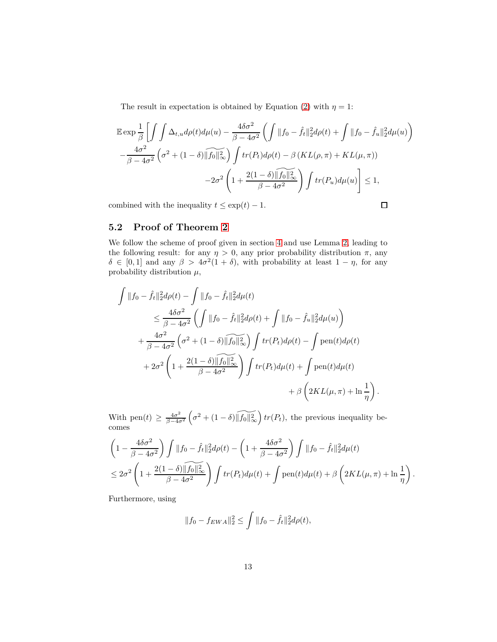The result in expectation is obtained by Equation [\(2\)](#page-11-0) with  $\eta = 1$ :

$$
\mathbb{E} \exp \frac{1}{\beta} \left[ \int \int \Delta_{t,u} d\rho(t) d\mu(u) - \frac{4\delta\sigma^2}{\beta - 4\sigma^2} \left( \int ||f_0 - \hat{f}_t||_2^2 d\rho(t) + \int ||f_0 - \hat{f}_u||_2^2 d\mu(u) \right) \right. \left. - \frac{4\sigma^2}{\beta - 4\sigma^2} \left( \sigma^2 + (1 - \delta) ||\hat{f}_0||_\infty^2 \right) \int tr(P_t) d\rho(t) - \beta \left( KL(\rho, \pi) + KL(\mu, \pi) \right) \right. \left. - 2\sigma^2 \left( 1 + \frac{2(1 - \delta) ||\hat{f}_0||_\infty^2}{\beta - 4\sigma^2} \right) \int tr(P_u) d\mu(u) \right] \le 1,
$$

combined with the inequality  $t \leq \exp(t) - 1$ .

$$
\Box
$$

### <span id="page-12-0"></span>**5.2 Proof of Theorem [2](#page-8-0)**

We follow the scheme of proof given in section [4](#page-7-1) and use Lemma [2,](#page-9-0) leading to the following result: for any  $\eta > 0$ , any prior probability distribution  $\pi$ , any  $\delta \in [0,1]$  and any  $\beta > 4\sigma^2(1+\delta)$ , with probability at least  $1-\eta$ , for any probability distribution  $\mu$ ,

$$
\int ||f_0 - \hat{f}_t||_2^2 d\rho(t) - \int ||f_0 - \hat{f}_t||_2^2 d\mu(t) \n\leq \frac{4\delta\sigma^2}{\beta - 4\sigma^2} \left( \int ||f_0 - \hat{f}_t||_2^2 d\rho(t) + \int ||f_0 - \hat{f}_u||_2^2 d\mu(u) \right) \n+ \frac{4\sigma^2}{\beta - 4\sigma^2} \left( \sigma^2 + (1 - \delta) \|\widetilde{f}_0\|_{\infty}^2 \right) \int tr(P_t) d\rho(t) - \int \text{pen}(t) d\rho(t) \n+ 2\sigma^2 \left( 1 + \frac{2(1 - \delta) \|\widetilde{f}_0\|_{\infty}^2}{\beta - 4\sigma^2} \right) \int tr(P_t) d\mu(t) + \int \text{pen}(t) d\mu(t) \n+ \beta \left( 2KL(\mu, \pi) + \ln \frac{1}{\eta} \right).
$$

With pen $(t) \geq \frac{4\sigma^2}{\beta - 4c}$ *β*−4*σ*<sup>2</sup>  $\left(\sigma^2 + (1-\delta)\sqrt{\|f_0\|_{\infty}^2}\right)$  *tr*(*Pt*)*,* the previous inequality becomes

$$
\left(1 - \frac{4\delta\sigma^2}{\beta - 4\sigma^2}\right) \int \|f_0 - \hat{f}_t\|_2^2 d\rho(t) - \left(1 + \frac{4\delta\sigma^2}{\beta - 4\sigma^2}\right) \int \|f_0 - \hat{f}_t\|_2^2 d\mu(t)
$$
  
\n
$$
\leq 2\sigma^2 \left(1 + \frac{2(1 - \delta)\|\widehat{f_0}\|_\infty^2}{\beta - 4\sigma^2}\right) \int tr(P_t) d\mu(t) + \int \text{pen}(t) d\mu(t) + \beta \left(2KL(\mu, \pi) + \ln\frac{1}{\eta}\right).
$$

Furthermore, using

$$
||f_0 - f_{EWA}||_2^2 \le \int ||f_0 - \hat{f}_t||_2^2 d\rho(t),
$$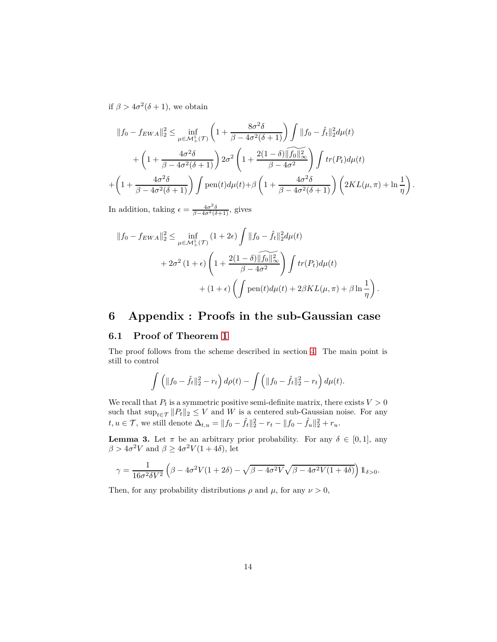if  $\beta > 4\sigma^2(\delta + 1)$ , we obtain

$$
||f_0 - f_{EWA}||_2^2 \le \inf_{\mu \in \mathcal{M}_+^1(\mathcal{T})} \left(1 + \frac{8\sigma^2 \delta}{\beta - 4\sigma^2(\delta + 1)}\right) \int ||f_0 - \hat{f}_t||_2^2 d\mu(t) + \left(1 + \frac{4\sigma^2 \delta}{\beta - 4\sigma^2(\delta + 1)}\right) 2\sigma^2 \left(1 + \frac{2(1 - \delta)\|\hat{f}_0\|_\infty^2}{\beta - 4\sigma^2}\right) \int tr(P_t) d\mu(t) + \left(1 + \frac{4\sigma^2 \delta}{\beta - 4\sigma^2(\delta + 1)}\right) \int \text{pen}(t) d\mu(t) + \beta \left(1 + \frac{4\sigma^2 \delta}{\beta - 4\sigma^2(\delta + 1)}\right) \left(2KL(\mu, \pi) + \ln\frac{1}{\eta}\right)
$$

*.*

In addition, taking  $\epsilon = \frac{4\sigma^2 \delta}{\beta - 4\sigma^2(\delta + 1)}$ , gives

$$
||f_0 - f_{EWA}||_2^2 \le \inf_{\mu \in \mathcal{M}_+^1(\mathcal{T})} (1 + 2\epsilon) \int ||f_0 - \hat{f}_t||_2^2 d\mu(t)
$$
  
+  $2\sigma^2 (1 + \epsilon) \left(1 + \frac{2(1 - \delta) ||f_0||_{\infty}^2}{\beta - 4\sigma^2}\right) \int tr(P_t) d\mu(t)$   
+  $(1 + \epsilon) \left(\int \text{pen}(t) d\mu(t) + 2\beta KL(\mu, \pi) + \beta \ln \frac{1}{\eta}\right).$ 

# <span id="page-13-0"></span>**6 Appendix : Proofs in the sub-Gaussian case**

#### **6.1 Proof of Theorem [1](#page-3-0)**

The proof follows from the scheme described in section [4.](#page-7-1) The main point is still to control

$$
\int \left( \|f_0 - \hat{f}_t\|_2^2 - r_t \right) d\rho(t) - \int \left( \|f_0 - \hat{f}_t\|_2^2 - r_t \right) d\mu(t).
$$

We recall that  $P_t$  is a symmetric positive semi-definite matrix, there exists  $V > 0$ such that  $\sup_{t \in \mathcal{T}} ||P_t||_2 \leq V$  and *W* is a centered sub-Gaussian noise. For any  $t, u \in \mathcal{T}$ , we still denote  $\Delta_{t,u} = ||f_0 - \hat{f}_t||_2^2 - r_t - ||f_0 - \hat{f}_u||_2^2 + r_u$ .

<span id="page-13-1"></span>**Lemma 3.** Let  $\pi$  be an arbitrary prior probability. For any  $\delta \in [0,1]$ , any  $\beta > 4\sigma^2 V$  and  $\beta \ge 4\sigma^2 V(1+4\delta)$ , let

$$
\gamma = \frac{1}{16\sigma^2 \delta V^2} \left( \beta - 4\sigma^2 V (1 + 2\delta) - \sqrt{\beta - 4\sigma^2 V} \sqrt{\beta - 4\sigma^2 V (1 + 4\delta)} \right) \mathbb{1}_{\delta > 0}.
$$

Then, for any probability distributions  $\rho$  and  $\mu$ , for any  $\nu > 0$ ,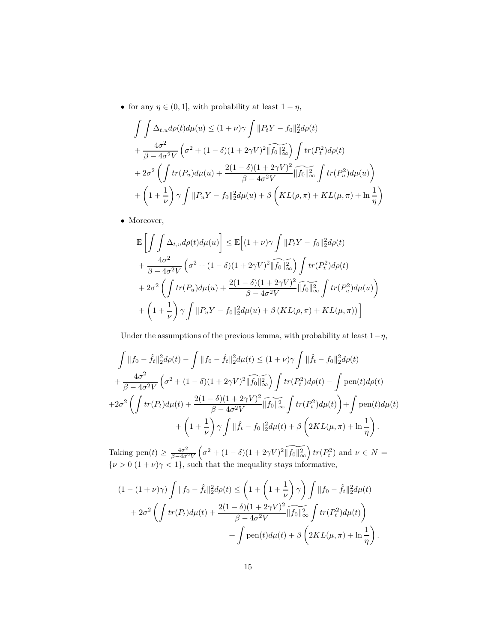• for any  $\eta \in (0, 1]$ , with probability at least  $1 - \eta$ ,

$$
\int \int \Delta_{t,u} d\rho(t) d\mu(u) \le (1+\nu)\gamma \int ||P_t Y - f_0||_2^2 d\rho(t)
$$
  
+ 
$$
\frac{4\sigma^2}{\beta - 4\sigma^2 V} \left(\sigma^2 + (1-\delta)(1+2\gamma V)^2 ||\widetilde{f_0}||_\infty^2\right) \int tr(P_t^2) d\rho(t)
$$
  
+ 
$$
2\sigma^2 \left(\int tr(P_u) d\mu(u) + \frac{2(1-\delta)(1+2\gamma V)^2}{\beta - 4\sigma^2 V} ||\widetilde{f_0}||_\infty^2 \int tr(P_u^2) d\mu(u)\right)
$$
  
+ 
$$
\left(1 + \frac{1}{\nu}\right) \gamma \int ||P_u Y - f_0||_2^2 d\mu(u) + \beta \left(KL(\rho, \pi) + KL(\mu, \pi) + \ln \frac{1}{\eta}\right)
$$

• Moreover,

$$
\mathbb{E}\left[\int\int \Delta_{t,u}d\rho(t)d\mu(u)\right] \leq \mathbb{E}\left[(1+\nu)\gamma \int ||P_tY - f_0||_2^2 d\rho(t) \n+ \frac{4\sigma^2}{\beta - 4\sigma^2 V} \left(\sigma^2 + (1-\delta)(1+2\gamma V)^2 ||f_0||_\infty^2\right) \int tr(P_t^2) d\rho(t) \n+ 2\sigma^2 \left(\int tr(P_u) d\mu(u) + \frac{2(1-\delta)(1+2\gamma V)^2}{\beta - 4\sigma^2 V} ||f_0||_\infty^2 \int tr(P_u^2) d\mu(u)\right) \n+ \left(1 + \frac{1}{\nu}\right)\gamma \int ||P_uY - f_0||_2^2 d\mu(u) + \beta \left(KL(\rho, \pi) + KL(\mu, \pi)\right)\right]
$$

Under the assumptions of the previous lemma, with probability at least 1−*η*,

$$
\int ||f_0 - \hat{f}_t||_2^2 d\rho(t) - \int ||f_0 - \hat{f}_t||_2^2 d\mu(t) \le (1 + \nu)\gamma \int ||\hat{f}_t - f_0||_2^2 d\rho(t) \n+ \frac{4\sigma^2}{\beta - 4\sigma^2 V} \left(\sigma^2 + (1 - \delta)(1 + 2\gamma V)^2 \|\widehat{f}_0\|_\infty^2\right) \int tr(P_t^2) d\rho(t) - \int \text{pen}(t) d\rho(t) \n+ 2\sigma^2 \left(\int tr(P_t) d\mu(t) + \frac{2(1 - \delta)(1 + 2\gamma V)^2}{\beta - 4\sigma^2 V} \|\widehat{f}_0\|_\infty^2 \int tr(P_t^2) d\mu(t)\right) + \int \text{pen}(t) d\mu(t) \n+ \left(1 + \frac{1}{\nu}\right) \gamma \int ||\hat{f}_t - f_0||_2^2 d\mu(t) + \beta \left(2KL(\mu, \pi) + \ln \frac{1}{\eta}\right).
$$

Taking pen $(t) \geq \frac{4\sigma^2}{\beta - 4\sigma^2}$ *β*−4*σ*2*V*  $\left(\sigma^2 + (1 - \delta)(1 + 2\gamma V)^2 \sqrt{\|f_0\|_{\infty}^2}\right) tr(P_t^2)$  and  $\nu \in N =$  $\{\nu > 0 | (1 + \nu)\gamma < 1\}$ , such that the inequality stays informative,

$$
(1 - (1 + \nu)\gamma) \int ||f_0 - \hat{f}_t||_2^2 d\rho(t) \le \left(1 + \left(1 + \frac{1}{\nu}\right)\gamma\right) \int ||f_0 - \hat{f}_t||_2^2 d\mu(t) + 2\sigma^2 \left(\int tr(P_t) d\mu(t) + \frac{2(1 - \delta)(1 + 2\gamma V)^2}{\beta - 4\sigma^2 V} ||\widehat{f_0}||_\infty^2 \int tr(P_t^2) d\mu(t)\right) + \int \text{pen}(t) d\mu(t) + \beta \left(2KL(\mu, \pi) + \ln\frac{1}{\eta}\right).
$$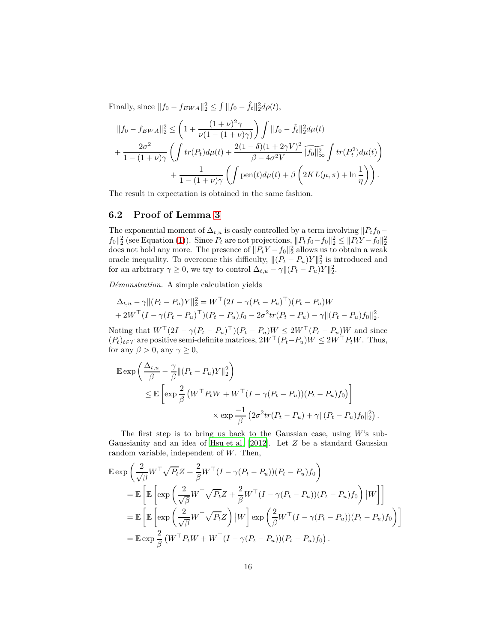Finally, since  $||f_0 - f_{EWA}||_2^2 \le \int ||f_0 - \hat{f}_t||_2^2 d\rho(t)$ ,

$$
||f_0 - f_{EWA}||_2^2 \le \left(1 + \frac{(1+\nu)^2 \gamma}{\nu(1 - (1+\nu)\gamma)}\right) \int ||f_0 - \hat{f}_t||_2^2 d\mu(t) + \frac{2\sigma^2}{1 - (1+\nu)\gamma} \left( \int tr(P_t) d\mu(t) + \frac{2(1-\delta)(1+2\gamma V)^2}{\beta - 4\sigma^2 V} ||\hat{f}_0||_\infty^2 \int tr(P_t^2) d\mu(t) \right) + \frac{1}{1 - (1+\nu)\gamma} \left( \int \text{pen}(t) d\mu(t) + \beta \left(2KL(\mu, \pi) + \ln\frac{1}{\eta}\right) \right).
$$

The result in expectation is obtained in the same fashion.

#### **6.2 Proof of Lemma [3](#page-13-1)**

The exponential moment of  $\Delta_{t,u}$  is easily controlled by a term involving  $||P_t f_0$  $f_0\|_2^2$  (see Equation [\(1\)](#page-10-0)). Since  $P_t$  are not projections,  $||P_t f_0 - f_0||_2^2 \le ||P_t Y - f_0||_2^2$ <br>does not hold any more. The presence of  $||P_t Y - f_0||_2^2$  allows us to obtain a weak oracle inequality. To overcome this difficulty,  $\|(P_t - P_u)Y\|_2^2$  is introduced and for an arbitrary  $\gamma \geq 0$ , we try to control  $\Delta_{t,u} - \gamma ||(P_t - P_u)Y||_2^2$ .

*Démonstration.* A simple calculation yields

$$
\Delta_{t,u} - \gamma || (P_t - P_u)Y||_2^2 = W^\top (2I - \gamma (P_t - P_u)^\top) (P_t - P_u)W + 2W^\top (I - \gamma (P_t - P_u)^\top) (P_t - P_u) f_0 - 2\sigma^2 tr (P_t - P_u) - \gamma || (P_t - P_u) f_0||_2^2.
$$

Noting that  $W^{\top}(2I - \gamma(P_t - P_u)^{\top})(P_t - P_u)W \leq 2W^{\top}(P_t - P_u)W$  and since  $(P_t)_{t \in \mathcal{T}}$  are positive semi-definite matrices,  $2W^\top (P_t - P_u)W \le 2W^\top P_t W$ . Thus, for any  $\beta > 0$ , any  $\gamma \geq 0$ ,

$$
\mathbb{E} \exp \left( \frac{\Delta_{t,u}}{\beta} - \frac{\gamma}{\beta} \| (P_t - P_u) Y \|_2^2 \right)
$$
  
\n
$$
\leq \mathbb{E} \left[ \exp \frac{2}{\beta} \left( W^\top P_t W + W^\top (I - \gamma (P_t - P_u)) (P_t - P_u) f_0 \right) \right]
$$
  
\n
$$
\times \exp \frac{-1}{\beta} \left( 2\sigma^2 tr (P_t - P_u) + \gamma \| (P_t - P_u) f_0 \|_2^2 \right).
$$

The first step is to bring us back to the Gaussian case, using *W*'s sub-Gaussianity and an idea of [Hsu et al. \[2012](#page-21-11)]. Let *Z* be a standard Gaussian random variable, independent of *W*. Then,

$$
\mathbb{E} \exp \left( \frac{2}{\sqrt{\beta}} W^{\top} \sqrt{P_t} Z + \frac{2}{\beta} W^{\top} (I - \gamma (P_t - P_u))(P_t - P_u) f_0 \right)
$$
  
\n
$$
= \mathbb{E} \left[ \mathbb{E} \left[ \exp \left( \frac{2}{\sqrt{\beta}} W^{\top} \sqrt{P_t} Z + \frac{2}{\beta} W^{\top} (I - \gamma (P_t - P_u))(P_t - P_u) f_0 \right) |W \right] \right]
$$
  
\n
$$
= \mathbb{E} \left[ \mathbb{E} \left[ \exp \left( \frac{2}{\sqrt{\beta}} W^{\top} \sqrt{P_t} Z \right) |W \right] \exp \left( \frac{2}{\beta} W^{\top} (I - \gamma (P_t - P_u))(P_t - P_u) f_0 \right) \right]
$$
  
\n
$$
= \mathbb{E} \exp \frac{2}{\beta} (W^{\top} P_t W + W^{\top} (I - \gamma (P_t - P_u))(P_t - P_u) f_0).
$$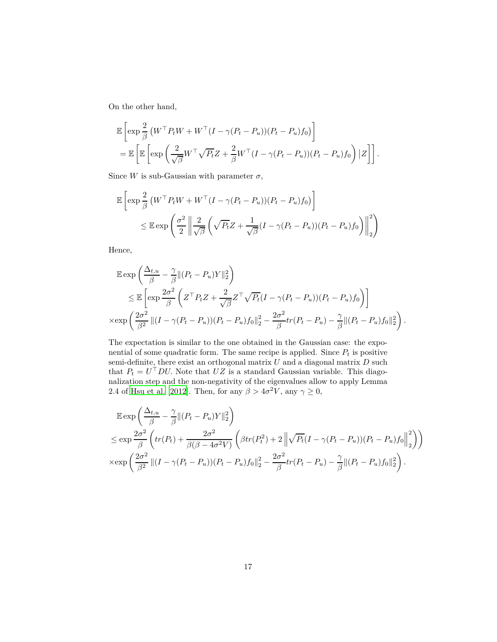On the other hand,

$$
\mathbb{E}\left[\exp\frac{2}{\beta}\left(W^{\top}P_{t}W+W^{\top}(I-\gamma(P_{t}-P_{u}))(P_{t}-P_{u})f_{0}\right)\right]
$$
  
=\mathbb{E}\left[\mathbb{E}\left[\exp\left(\frac{2}{\sqrt{\beta}}W^{\top}\sqrt{P\_{t}}Z+\frac{2}{\beta}W^{\top}(I-\gamma(P\_{t}-P\_{u}))(P\_{t}-P\_{u})f\_{0}\right)|Z\right]\right].

Since *W* is sub-Gaussian with parameter  $\sigma$ ,

$$
\mathbb{E}\left[\exp\frac{2}{\beta}\left(W^{\top}P_tW+W^{\top}(I-\gamma(P_t-P_u))(P_t-P_u)f_0\right)\right]
$$
  

$$
\leq \mathbb{E}\exp\left(\frac{\sigma^2}{2}\left\|\frac{2}{\sqrt{\beta}}\left(\sqrt{P_t}Z+\frac{1}{\sqrt{\beta}}(I-\gamma(P_t-P_u))(P_t-P_u)f_0\right)\right\|_2^2\right)
$$

Hence,

$$
\mathbb{E} \exp\left(\frac{\Delta_{t,u}}{\beta} - \frac{\gamma}{\beta} \|(P_t - P_u)Y\|_2^2\right)
$$
\n
$$
\leq \mathbb{E} \left[ \exp\frac{2\sigma^2}{\beta} \left( Z^\top P_t Z + \frac{2}{\sqrt{\beta}} Z^\top \sqrt{P_t} (I - \gamma (P_t - P_u))(P_t - P_u) f_0 \right) \right]
$$
\n
$$
\times \exp\left(\frac{2\sigma^2}{\beta^2} \|(I - \gamma (P_t - P_u))(P_t - P_u)f_0\|_2^2 - \frac{2\sigma^2}{\beta} tr(P_t - P_u) - \frac{\gamma}{\beta} \|(P_t - P_u)f_0\|_2^2\right).
$$

The expectation is similar to the one obtained in the Gaussian case: the exponential of some quadratic form. The same recipe is applied. Since  $P_t$  is positive semi-definite, there exist an orthogonal matrix *U* and a diagonal matrix *D* such that  $P_t = U^\top D U$ . Note that  $UZ$  is a standard Gaussian variable. This diagonalization step and the non-negativity of the eigenvalues allow to apply Lemma 2.4 of [Hsu et al. \[2012\]](#page-21-11). Then, for any  $\beta > 4\sigma^2 V$ , any  $\gamma \ge 0$ ,

$$
\mathbb{E} \exp\left(\frac{\Delta_{t,u}}{\beta} - \frac{\gamma}{\beta} \|(P_t - P_u)Y\|_2^2\right)
$$
\n
$$
\leq \exp \frac{2\sigma^2}{\beta} \left( tr(P_t) + \frac{2\sigma^2}{\beta(\beta - 4\sigma^2 V)} \left( \beta tr(P_t^2) + 2 \left\| \sqrt{P_t} (I - \gamma (P_t - P_u))(P_t - P_u)f_0 \right\|_2^2 \right) \right)
$$
\n
$$
\times \exp \left(\frac{2\sigma^2}{\beta^2} \|(I - \gamma (P_t - P_u))(P_t - P_u)f_0\|_2^2 - \frac{2\sigma^2}{\beta} tr(P_t - P_u) - \frac{\gamma}{\beta} \|(P_t - P_u)f_0\|_2^2 \right).
$$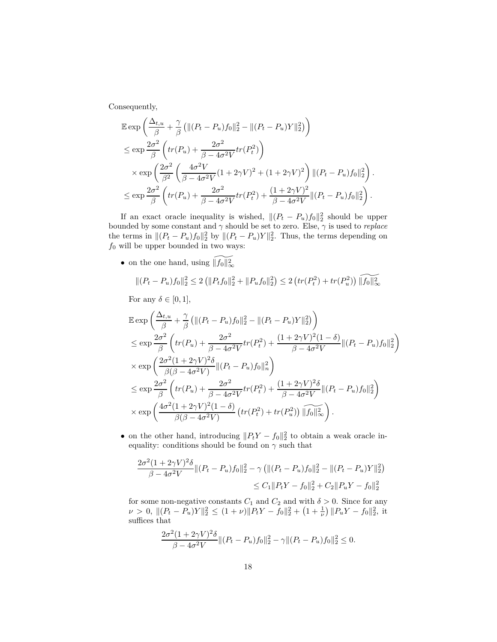Consequently,

$$
\mathbb{E} \exp\left(\frac{\Delta_{t,u}}{\beta} + \frac{\gamma}{\beta} \left(\|(P_t - P_u)f_0\|_2^2 - \|(P_t - P_u)Y\|_2^2\right)\right)
$$
\n
$$
\leq \exp\frac{2\sigma^2}{\beta} \left(tr(P_u) + \frac{2\sigma^2}{\beta - 4\sigma^2 V}tr(P_t^2)\right)
$$
\n
$$
\times \exp\left(\frac{2\sigma^2}{\beta^2} \left(\frac{4\sigma^2 V}{\beta - 4\sigma^2 V}(1 + 2\gamma V)^2 + (1 + 2\gamma V)^2\right) \|(P_t - P_u)f_0\|_2^2\right).
$$
\n
$$
\leq \exp\frac{2\sigma^2}{\beta} \left(tr(P_u) + \frac{2\sigma^2}{\beta - 4\sigma^2 V}tr(P_t^2) + \frac{(1 + 2\gamma V)^2}{\beta - 4\sigma^2 V} \|(P_t - P_u)f_0\|_2^2\right).
$$

If an exact oracle inequality is wished,  $||(P_t - P_u)f_0||_2^2$  should be upper bounded by some constant and *γ* should be set to zero. Else, *γ* is used to *replace* the terms in  $||(P_t - P_u)f_0||_2^2$  by  $||(P_t - P_u)Y||_2^2$ . Thus, the terms depending on *f*<sup>0</sup> will be upper bounded in two ways:

• on the one hand, using  $\widetilde{\|f_0\|_{\infty}^2}$ 

$$
\|(P_t - P_u)f_0\|_2^2 \le 2\left(\|P_t f_0\|_2^2 + \|P_u f_0\|_2^2\right) \le 2\left(tr(P_t^2) + tr(P_u^2)\right) \|\widetilde{f_0}\|_{\infty}^2
$$

For any  $\delta \in [0, 1]$ ,

$$
\mathbb{E} \exp\left(\frac{\Delta_{t,u}}{\beta} + \frac{\gamma}{\beta} \left(\|(P_t - P_u)f_0\|_2^2 - \|(P_t - P_u)Y\|_2^2\right)\right)
$$
\n
$$
\leq \exp\frac{2\sigma^2}{\beta} \left(tr(P_u) + \frac{2\sigma^2}{\beta - 4\sigma^2 V}tr(P_t^2) + \frac{(1 + 2\gamma V)^2 (1 - \delta)}{\beta - 4\sigma^2 V}\|(P_t - P_u)f_0\|_2^2\right)
$$
\n
$$
\times \exp\left(\frac{2\sigma^2 (1 + 2\gamma V)^2 \delta}{\beta(\beta - 4\sigma^2 V)} \|(P_t - P_u)f_0\|_n^2\right)
$$
\n
$$
\leq \exp\frac{2\sigma^2}{\beta} \left(tr(P_u) + \frac{2\sigma^2}{\beta - 4\sigma^2 V}tr(P_t^2) + \frac{(1 + 2\gamma V)^2 \delta}{\beta - 4\sigma^2 V}\|(P_t - P_u)f_0\|_2^2\right)
$$
\n
$$
\times \exp\left(\frac{4\sigma^2 (1 + 2\gamma V)^2 (1 - \delta)}{\beta(\beta - 4\sigma^2 V)} \left(tr(P_t^2) + tr(P_u^2)\right) \|\widehat{f}_0\|_\infty^2\right).
$$

• on the other hand, introducing  $||P_tY - f_0||_2^2$  to obtain a weak oracle inequality: conditions should be found on  $\gamma$  such that

$$
\frac{2\sigma^2(1+2\gamma V)^2\delta}{\beta-4\sigma^2 V} \|(P_t - P_u)f_0\|_2^2 - \gamma \left( \|(P_t - P_u)f_0\|_2^2 - \|(P_t - P_u)Y\|_2^2 \right)
$$
  

$$
\leq C_1 \|P_tY - f_0\|_2^2 + C_2 \|P_uY - f_0\|_2^2
$$

for some non-negative constants  $C_1$  and  $C_2$  and with  $\delta > 0$ . Since for any  $\nu > 0, \ \| (P_t - P_u)Y \|_2^2 \le (1 + \nu) \| P_t Y - f_0 \|_2^2 + (1 + \frac{1}{\nu}) \| P_u Y - f_0 \|_2^2$ , it suffices that

$$
\frac{2\sigma^2(1+2\gamma V)^2\delta}{\beta-4\sigma^2 V} \|(P_t - P_u)f_0\|_2^2 - \gamma \|(P_t - P_u)f_0\|_2^2 \le 0.
$$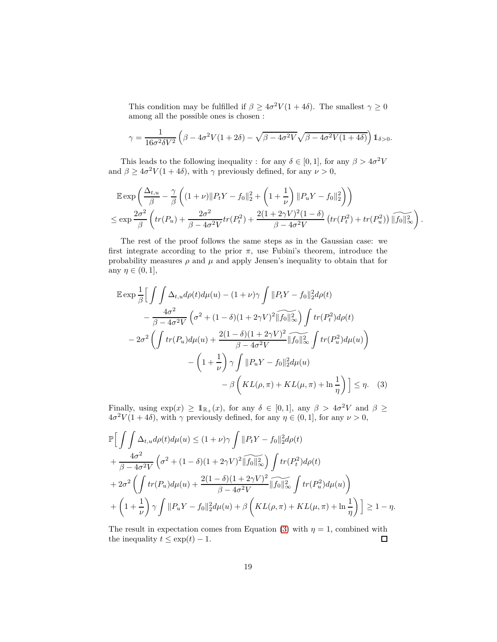This condition may be fulfilled if  $\beta \geq 4\sigma^2 V(1+4\delta)$ . The smallest  $\gamma \geq 0$ among all the possible ones is chosen :

$$
\gamma = \frac{1}{16\sigma^2 \delta V^2} \left( \beta - 4\sigma^2 V (1 + 2\delta) - \sqrt{\beta - 4\sigma^2 V} \sqrt{\beta - 4\sigma^2 V (1 + 4\delta)} \right) \mathbb{1}_{\delta > 0}.
$$

This leads to the following inequality : for any  $\delta \in [0, 1]$ , for any  $\beta > 4\sigma^2 V$ and  $\beta \geq 4\sigma^2 V(1+4\delta)$ , with  $\gamma$  previously defined, for any  $\nu > 0$ ,

$$
\mathbb{E} \exp\left(\frac{\Delta_{t,u}}{\beta} - \frac{\gamma}{\beta} \left( (1+\nu) \|P_t Y - f_0\|_2^2 + \left(1 + \frac{1}{\nu}\right) \|P_u Y - f_0\|_2^2 \right) \right)
$$
  

$$
\leq \exp \frac{2\sigma^2}{\beta} \left( tr(P_u) + \frac{2\sigma^2}{\beta - 4\sigma^2 V} tr(P_t^2) + \frac{2(1 + 2\gamma V)^2 (1 - \delta)}{\beta - 4\sigma^2 V} \left( tr(P_t^2) + tr(P_u^2) \right) \|\widehat{f_0}\|_{\infty}^2 \right).
$$

The rest of the proof follows the same steps as in the Gaussian case: we first integrate according to the prior  $\pi$ , use Fubini's theorem, introduce the probability measures  $\rho$  and  $\mu$  and apply Jensen's inequality to obtain that for any  $\eta \in (0,1],$ 

$$
\mathbb{E} \exp \frac{1}{\beta} \Big[ \int \int \Delta_{t,u} d\rho(t) d\mu(u) - (1+\nu)\gamma \int ||P_t Y - f_0||_2^2 d\rho(t)
$$

$$
- \frac{4\sigma^2}{\beta - 4\sigma^2 V} \left( \sigma^2 + (1-\delta)(1+2\gamma V)^2 ||\widetilde{f_0}||_\infty^2 \right) \int tr(P_t^2) d\rho(t)
$$

$$
- 2\sigma^2 \left( \int tr(P_u) d\mu(u) + \frac{2(1-\delta)(1+2\gamma V)^2}{\beta - 4\sigma^2 V} ||\widetilde{f_0}||_\infty^2 \int tr(P_u^2) d\mu(u) \right)
$$

$$
- \left( 1 + \frac{1}{\nu} \right) \gamma \int ||P_u Y - f_0||_2^2 d\mu(u)
$$

$$
- \beta \left( KL(\rho, \pi) + KL(\mu, \pi) + \ln \frac{1}{\eta} \right) \Big] \le \eta. \quad (3)
$$

<span id="page-18-0"></span>Finally, using  $\exp(x) \geq 1_{\mathbb{R}_+}(x)$ , for any  $\delta \in [0,1]$ , any  $\beta > 4\sigma^2 V$  and  $\beta \geq$  $4\sigma^2 V(1+4\delta)$ , with  $\gamma$  previously defined, for any  $\eta \in (0,1]$ , for any  $\nu > 0$ ,

$$
\mathbb{P}\Big[\int\int\Delta_{t,u}d\rho(t)d\mu(u) \leq (1+\nu)\gamma\int||P_tY - f_0||_2^2d\rho(t) \n+ \frac{4\sigma^2}{\beta - 4\sigma^2V}\left(\sigma^2 + (1-\delta)(1+2\gamma V)^2||f_0||_\infty^2\right)\int tr(P_t^2)d\rho(t) \n+ 2\sigma^2\left(\int tr(P_u)d\mu(u) + \frac{2(1-\delta)(1+2\gamma V)^2}{\beta - 4\sigma^2V}||f_0||_\infty^2\int tr(P_u^2)d\mu(u)\right) \n+ \left(1+\frac{1}{\nu}\right)\gamma\int||P_uY - f_0||_2^2d\mu(u) + \beta\left(KL(\rho,\pi) + KL(\mu,\pi) + \ln\frac{1}{\eta}\right)\Big] \geq 1 - \eta.
$$

The result in expectation comes from Equation [\(3\)](#page-18-0) with  $\eta = 1$ , combined with the inequality  $t \leq \exp(t) - 1$ .  $\Box$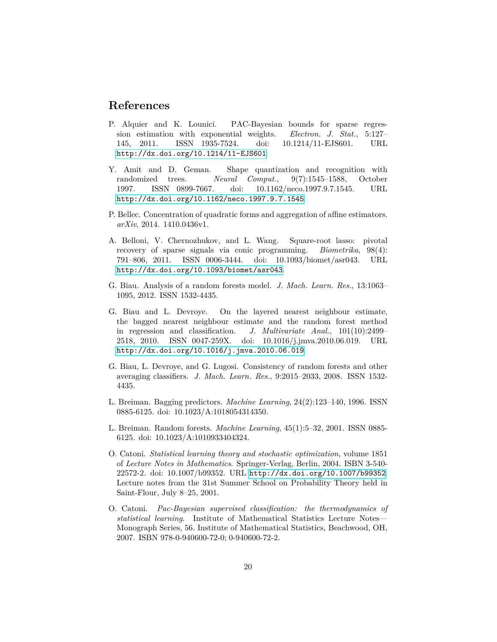### **References**

- <span id="page-19-10"></span>P. Alquier and K. Lounici. PAC-Bayesian bounds for sparse regression estimation with exponential weights. *Electron. J. Stat.*, 5:127– 145, 2011. ISSN 1935-7524. doi: 10.1214/11-EJS601. URL <http://dx.doi.org/10.1214/11-EJS601>.
- <span id="page-19-1"></span>Y. Amit and D. Geman. Shape quantization and recognition with randomized trees. *Neural Comput.*, 9(7):1545–1588, October 1997. ISSN 0899-7667. doi: 10.1162/neco.1997.9.7.1545. URL <http://dx.doi.org/10.1162/neco.1997.9.7.1545>.
- <span id="page-19-9"></span>P. Bellec. Concentration of quadratic forms and aggregation of affine estimators. *arXiv*, 2014. 1410.0436v1.
- <span id="page-19-8"></span>A. Belloni, V. Chernozhukov, and L. Wang. Square-root lasso: pivotal recovery of sparse signals via conic programming. *Biometrika*, 98(4): 791–806, 2011. ISSN 0006-3444. doi: 10.1093/biomet/asr043. URL <http://dx.doi.org/10.1093/biomet/asr043>.
- <span id="page-19-5"></span>G. Biau. Analysis of a random forests model. *J. Mach. Learn. Res.*, 13:1063– 1095, 2012. ISSN 1532-4435.
- <span id="page-19-4"></span>G. Biau and L. Devroye. On the layered nearest neighbour estimate, the bagged nearest neighbour estimate and the random forest method in regression and classification. *J. Multivariate Anal.*, 101(10):2499– 2518, 2010. ISSN 0047-259X. doi: 10.1016/j.jmva.2010.06.019. URL <http://dx.doi.org/10.1016/j.jmva.2010.06.019>.
- <span id="page-19-3"></span>G. Biau, L. Devroye, and G. Lugosi. Consistency of random forests and other averaging classifiers. *J. Mach. Learn. Res.*, 9:2015–2033, 2008. ISSN 1532- 4435.
- <span id="page-19-0"></span>L. Breiman. Bagging predictors. *Machine Learning*, 24(2):123–140, 1996. ISSN 0885-6125. doi: 10.1023/A:1018054314350.
- <span id="page-19-2"></span>L. Breiman. Random forests. *Machine Learning*, 45(1):5–32, 2001. ISSN 0885- 6125. doi: 10.1023/A:1010933404324.
- <span id="page-19-6"></span>O. Catoni. *Statistical learning theory and stochastic optimization*, volume 1851 of *Lecture Notes in Mathematics*. Springer-Verlag, Berlin, 2004. ISBN 3-540- 22572-2. doi: 10.1007/b99352. URL <http://dx.doi.org/10.1007/b99352>. Lecture notes from the 31st Summer School on Probability Theory held in Saint-Flour, July 8–25, 2001.
- <span id="page-19-7"></span>O. Catoni. *Pac-Bayesian supervised classification: the thermodynamics of statistical learning*. Institute of Mathematical Statistics Lecture Notes— Monograph Series, 56. Institute of Mathematical Statistics, Beachwood, OH, 2007. ISBN 978-0-940600-72-0; 0-940600-72-2.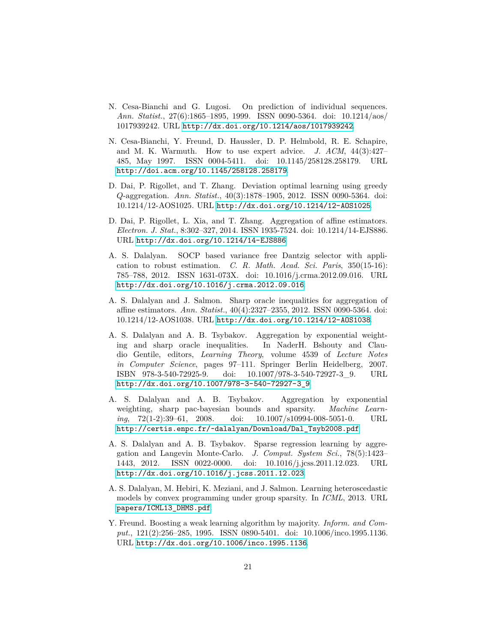- <span id="page-20-1"></span>N. Cesa-Bianchi and G. Lugosi. On prediction of individual sequences. *Ann. Statist.*, 27(6):1865–1895, 1999. ISSN 0090-5364. doi: 10.1214/aos/ 1017939242. URL <http://dx.doi.org/10.1214/aos/1017939242>.
- <span id="page-20-0"></span>N. Cesa-Bianchi, Y. Freund, D. Haussler, D. P. Helmbold, R. E. Schapire, and M. K. Warmuth. How to use expert advice. *J. ACM*, 44(3):427– 485, May 1997. ISSN 0004-5411. doi: 10.1145/258128.258179. URL <http://doi.acm.org/10.1145/258128.258179>.
- <span id="page-20-9"></span>D. Dai, P. Rigollet, and T. Zhang. Deviation optimal learning using greedy *Q*-aggregation. *Ann. Statist.*, 40(3):1878–1905, 2012. ISSN 0090-5364. doi: 10.1214/12-AOS1025. URL <http://dx.doi.org/10.1214/12-AOS1025>.
- <span id="page-20-10"></span>D. Dai, P. Rigollet, L. Xia, and T. Zhang. Aggregation of affine estimators. *Electron. J. Stat.*, 8:302–327, 2014. ISSN 1935-7524. doi: 10.1214/14-EJS886. URL <http://dx.doi.org/10.1214/14-EJS886>.
- <span id="page-20-7"></span>A. S. Dalalyan. SOCP based variance free Dantzig selector with application to robust estimation. *C. R. Math. Acad. Sci. Paris*, 350(15-16): 785–788, 2012. ISSN 1631-073X. doi: 10.1016/j.crma.2012.09.016. URL <http://dx.doi.org/10.1016/j.crma.2012.09.016>.
- <span id="page-20-8"></span>A. S. Dalalyan and J. Salmon. Sharp oracle inequalities for aggregation of affine estimators. *Ann. Statist.*, 40(4):2327–2355, 2012. ISSN 0090-5364. doi: 10.1214/12-AOS1038. URL <http://dx.doi.org/10.1214/12-AOS1038>.
- <span id="page-20-3"></span>A. S. Dalalyan and A. B. Tsybakov. Aggregation by exponential weighting and sharp oracle inequalities. In NaderH. Bshouty and Claudio Gentile, editors, *Learning Theory*, volume 4539 of *Lecture Notes in Computer Science*, pages 97–111. Springer Berlin Heidelberg, 2007. ISBN 978-3-540-72925-9. doi: 10.1007/978-3-540-72927-3\_9. URL [http://dx.doi.org/10.1007/978-3-540-72927-3\\_9](http://dx.doi.org/10.1007/978-3-540-72927-3_9).
- <span id="page-20-4"></span>A. S. Dalalyan and A. B. Tsybakov. Aggregation by exponential weighting, sharp pac-bayesian bounds and sparsity. *Machine Learning*, 72(1-2):39–61, 2008. doi: 10.1007/s10994-008-5051-0. URL [http://certis.enpc.fr/~dalalyan/Download/Dal\\_Tsyb2008.pdf](http://certis.enpc.fr/~dalalyan/Download/Dal_Tsyb2008.pdf).
- <span id="page-20-5"></span>A. S. Dalalyan and A. B. Tsybakov. Sparse regression learning by aggregation and Langevin Monte-Carlo. *J. Comput. System Sci.*, 78(5):1423– 1443, 2012. ISSN 0022-0000. doi: 10.1016/j.jcss.2011.12.023. URL <http://dx.doi.org/10.1016/j.jcss.2011.12.023>.
- <span id="page-20-6"></span>A. S. Dalalyan, M. Hebiri, K. Meziani, and J. Salmon. Learning heteroscedastic models by convex programming under group sparsity. In *ICML*, 2013. URL [papers/ICML13\\_DHMS.pdf](papers/ICML13_DHMS.pdf).
- <span id="page-20-2"></span>Y. Freund. Boosting a weak learning algorithm by majority. *Inform. and Comput.*, 121(2):256–285, 1995. ISSN 0890-5401. doi: 10.1006/inco.1995.1136. URL <http://dx.doi.org/10.1006/inco.1995.1136>.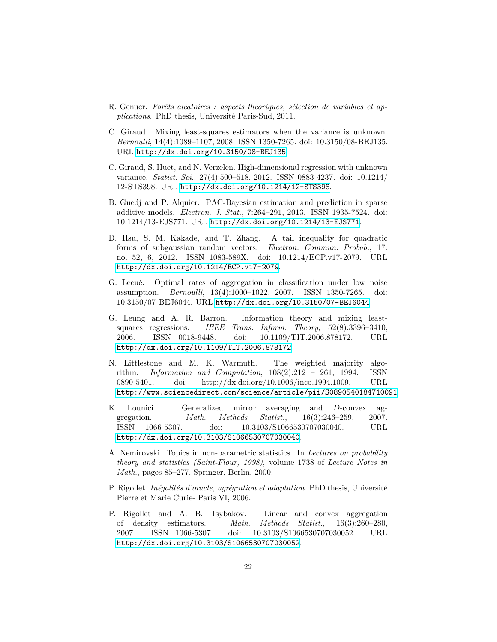- <span id="page-21-1"></span>R. Genuer. *Forêts aléatoires : aspects théoriques, sélection de variables et applications*. PhD thesis, Université Paris-Sud, 2011.
- <span id="page-21-8"></span>C. Giraud. Mixing least-squares estimators when the variance is unknown. *Bernoulli*, 14(4):1089–1107, 2008. ISSN 1350-7265. doi: 10.3150/08-BEJ135. URL <http://dx.doi.org/10.3150/08-BEJ135>.
- <span id="page-21-9"></span>C. Giraud, S. Huet, and N. Verzelen. High-dimensional regression with unknown variance. *Statist. Sci.*, 27(4):500–518, 2012. ISSN 0883-4237. doi: 10.1214/ 12-STS398. URL <http://dx.doi.org/10.1214/12-STS398>.
- <span id="page-21-10"></span>B. Guedj and P. Alquier. PAC-Bayesian estimation and prediction in sparse additive models. *Electron. J. Stat.*, 7:264–291, 2013. ISSN 1935-7524. doi: 10.1214/13-EJS771. URL <http://dx.doi.org/10.1214/13-EJS771>.
- <span id="page-21-11"></span>D. Hsu, S. M. Kakade, and T. Zhang. A tail inequality for quadratic forms of subgaussian random vectors. *Electron. Commun. Probab.*, 17: no. 52, 6, 2012. ISSN 1083-589X. doi: 10.1214/ECP.v17-2079. URL <http://dx.doi.org/10.1214/ECP.v17-2079>.
- <span id="page-21-6"></span>G. Lecué. Optimal rates of aggregation in classification under low noise assumption. *Bernoulli*, 13(4):1000–1022, 2007. ISSN 1350-7265. doi: 10.3150/07-BEJ6044. URL <http://dx.doi.org/10.3150/07-BEJ6044>.
- <span id="page-21-7"></span>G. Leung and A. R. Barron. Information theory and mixing leastsquares regressions. *IEEE Trans. Inform. Theory*, 52(8):3396–3410, 2006. ISSN 0018-9448. doi: 10.1109/TIT.2006.878172. URL <http://dx.doi.org/10.1109/TIT.2006.878172>.
- <span id="page-21-0"></span>N. Littlestone and M. K. Warmuth. The weighted majority algorithm. *Information and Computation*, 108(2):212 – 261, 1994. ISSN 0890-5401. doi: http://dx.doi.org/10.1006/inco.1994.1009. URL <http://www.sciencedirect.com/science/article/pii/S0890540184710091>.
- <span id="page-21-3"></span>K. Lounici. Generalized mirror averaging and *D*-convex aggregation. *Math. Methods Statist.*, 16(3):246–259, 2007. ISSN 1066-5307. doi: 10.3103/S1066530707030040. URL <http://dx.doi.org/10.3103/S1066530707030040>.
- <span id="page-21-2"></span>A. Nemirovski. Topics in non-parametric statistics. In *Lectures on probability theory and statistics (Saint-Flour, 1998)*, volume 1738 of *Lecture Notes in Math.*, pages 85–277. Springer, Berlin, 2000.
- <span id="page-21-5"></span>P. Rigollet. *Inégalités d'oracle, agrégration et adaptation*. PhD thesis, Université Pierre et Marie Curie- Paris VI, 2006.
- <span id="page-21-4"></span>P. Rigollet and A. B. Tsybakov. Linear and convex aggregation of density estimators. *Math. Methods Statist.*, 16(3):260–280, 2007. ISSN 1066-5307. doi: 10.3103/S1066530707030052. URL <http://dx.doi.org/10.3103/S1066530707030052>.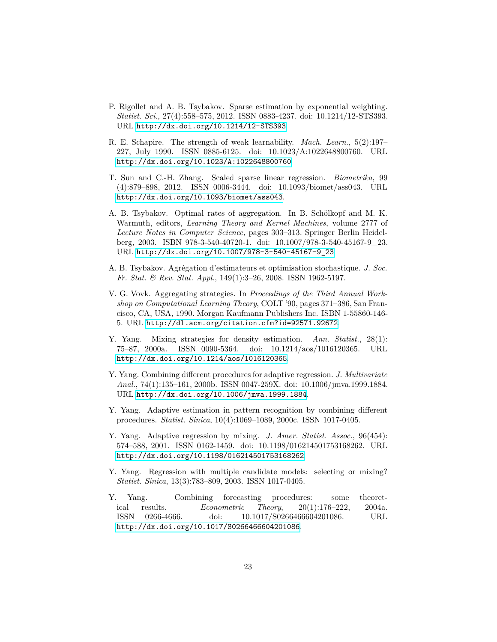- <span id="page-22-11"></span>P. Rigollet and A. B. Tsybakov. Sparse estimation by exponential weighting. *Statist. Sci.*, 27(4):558–575, 2012. ISSN 0883-4237. doi: 10.1214/12-STS393. URL <http://dx.doi.org/10.1214/12-STS393>.
- <span id="page-22-1"></span>R. E. Schapire. The strength of weak learnability. *Mach. Learn.*, 5(2):197– 227, July 1990. ISSN 0885-6125. doi: 10.1023/A:1022648800760. URL <http://dx.doi.org/10.1023/A:1022648800760>.
- <span id="page-22-10"></span>T. Sun and C.-H. Zhang. Scaled sparse linear regression. *Biometrika*, 99 (4):879–898, 2012. ISSN 0006-3444. doi: 10.1093/biomet/ass043. URL <http://dx.doi.org/10.1093/biomet/ass043>.
- <span id="page-22-9"></span>A. B. Tsybakov. Optimal rates of aggregation. In B. Schölkopf and M. K. Warmuth, editors, *Learning Theory and Kernel Machines*, volume 2777 of *Lecture Notes in Computer Science*, pages 303–313. Springer Berlin Heidelberg, 2003. ISBN 978-3-540-40720-1. doi: 10.1007/978-3-540-45167-9\_23. URL [http://dx.doi.org/10.1007/978-3-540-45167-9\\_23](http://dx.doi.org/10.1007/978-3-540-45167-9_23).
- <span id="page-22-8"></span>A. B. Tsybakov. Agrégation d'estimateurs et optimisation stochastique. *J. Soc. Fr. Stat. & Rev. Stat. Appl.*, 149(1):3–26, 2008. ISSN 1962-5197.
- <span id="page-22-0"></span>V. G. Vovk. Aggregating strategies. In *Proceedings of the Third Annual Workshop on Computational Learning Theory*, COLT '90, pages 371–386, San Francisco, CA, USA, 1990. Morgan Kaufmann Publishers Inc. ISBN 1-55860-146- 5. URL <http://dl.acm.org/citation.cfm?id=92571.92672>.
- <span id="page-22-4"></span>Y. Yang. Mixing strategies for density estimation. *Ann. Statist.*, 28(1): 75–87, 2000a. ISSN 0090-5364. doi: 10.1214/aos/1016120365. URL <http://dx.doi.org/10.1214/aos/1016120365>.
- <span id="page-22-3"></span>Y. Yang. Combining different procedures for adaptive regression. *J. Multivariate Anal.*, 74(1):135–161, 2000b. ISSN 0047-259X. doi: 10.1006/jmva.1999.1884. URL <http://dx.doi.org/10.1006/jmva.1999.1884>.
- <span id="page-22-2"></span>Y. Yang. Adaptive estimation in pattern recognition by combining different procedures. *Statist. Sinica*, 10(4):1069–1089, 2000c. ISSN 1017-0405.
- <span id="page-22-5"></span>Y. Yang. Adaptive regression by mixing. *J. Amer. Statist. Assoc.*, 96(454): 574–588, 2001. ISSN 0162-1459. doi: 10.1198/016214501753168262. URL <http://dx.doi.org/10.1198/016214501753168262>.
- <span id="page-22-6"></span>Y. Yang. Regression with multiple candidate models: selecting or mixing? *Statist. Sinica*, 13(3):783–809, 2003. ISSN 1017-0405.
- <span id="page-22-7"></span>Y. Yang. Combining forecasting procedures: some theoretical results. *Econometric Theory*, 20(1):176–222, 2004a. ISSN 0266-4666. doi: 10.1017/S0266466604201086. URL <http://dx.doi.org/10.1017/S0266466604201086>.